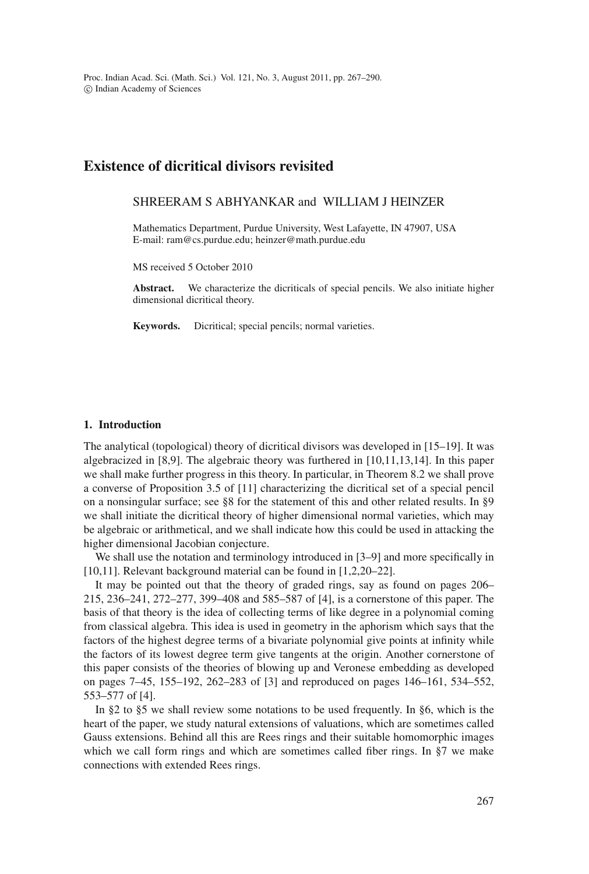Proc. Indian Acad. Sci. (Math. Sci.) Vol. 121, No. 3, August 2011, pp. 267–290.  $\odot$  Indian Academy of Sciences

# **Existence of dicritical divisors revisited**

## SHREERAM S ABHYANKAR and WILLIAM J HEINZER

Mathematics Department, Purdue University, West Lafayette, IN 47907, USA E-mail: ram@cs.purdue.edu; heinzer@math.purdue.edu

MS received 5 October 2010

**Abstract.** We characterize the dicriticals of special pencils. We also initiate higher dimensional dicritical theory.

**Keywords.** Dicritical; special pencils; normal varieties.

#### **1. Introduction**

The analytical (topological) theory of dicritical divisors was developed in [15–19]. It was algebracized in [8,9]. The algebraic theory was furthered in [10,11,13,14]. In this paper we shall make further progress in this theory. In particular, in Theorem 8.2 we shall prove a converse of Proposition 3.5 of [11] characterizing the dicritical set of a special pencil on a nonsingular surface; see §8 for the statement of this and other related results. In §9 we shall initiate the dicritical theory of higher dimensional normal varieties, which may be algebraic or arithmetical, and we shall indicate how this could be used in attacking the higher dimensional Jacobian conjecture.

We shall use the notation and terminology introduced in [3–9] and more specifically in [10,11]. Relevant background material can be found in [1,2,20–22].

It may be pointed out that the theory of graded rings, say as found on pages 206– 215, 236–241, 272–277, 399–408 and 585–587 of [4], is a cornerstone of this paper. The basis of that theory is the idea of collecting terms of like degree in a polynomial coming from classical algebra. This idea is used in geometry in the aphorism which says that the factors of the highest degree terms of a bivariate polynomial give points at infinity while the factors of its lowest degree term give tangents at the origin. Another cornerstone of this paper consists of the theories of blowing up and Veronese embedding as developed on pages 7–45, 155–192, 262–283 of [3] and reproduced on pages 146–161, 534–552, 553–577 of [4].

In §2 to §5 we shall review some notations to be used frequently. In §6, which is the heart of the paper, we study natural extensions of valuations, which are sometimes called Gauss extensions. Behind all this are Rees rings and their suitable homomorphic images which we call form rings and which are sometimes called fiber rings. In §7 we make connections with extended Rees rings.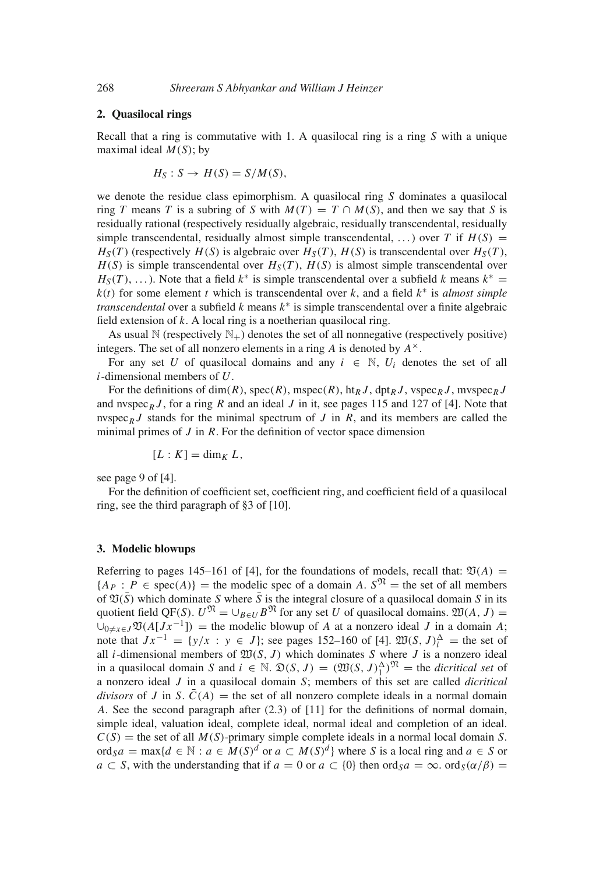## **2. Quasilocal rings**

Recall that a ring is commutative with 1. A quasilocal ring is a ring *S* with a unique maximal ideal *M*(*S*); by

$$
H_S: S \to H(S) = S/M(S),
$$

we denote the residue class epimorphism. A quasilocal ring *S* dominates a quasilocal ring *T* means *T* is a subring of *S* with  $M(T) = T \cap M(S)$ , and then we say that *S* is residually rational (respectively residually algebraic, residually transcendental, residually simple transcendental, residually almost simple transcendental, ...) over *T* if  $H(S)$  =  $H_S(T)$  (respectively  $H(S)$  is algebraic over  $H_S(T)$ ,  $H(S)$  is transcendental over  $H_S(T)$ ,  $H(S)$  is simple transcendental over  $H_S(T)$ ,  $H(S)$  is almost simple transcendental over  $H_S(T)$ , ...). Note that a field  $k^*$  is simple transcendental over a subfield k means  $k^* =$  $k(t)$  for some element *t* which is transcendental over *k*, and a field  $k^*$  is *almost simple transcendental* over a subfield *k* means *k*<sup>∗</sup> is simple transcendental over a finite algebraic field extension of *k*. A local ring is a noetherian quasilocal ring.

As usual  $\mathbb N$  (respectively  $\mathbb N_+$ ) denotes the set of all nonnegative (respectively positive) integers. The set of all nonzero elements in a ring *A* is denoted by *A*×.

For any set *U* of quasilocal domains and any  $i \in \mathbb{N}$ ,  $U_i$  denotes the set of all *i*-dimensional members of *U*.

For the definitions of dim(*R*), spec(*R*), mspec(*R*), ht<sub>R</sub> *J*, dpt<sub>R</sub> *J*, vspec<sub>*R*</sub> *J*, mvspec<sub>*R*</sub> *J* and nvspec<sub>R</sub>  $J$ , for a ring  $R$  and an ideal  $J$  in it, see pages 115 and 127 of [4]. Note that nvspec<sub>R</sub> *J* stands for the minimal spectrum of *J* in *R*, and its members are called the minimal primes of *J* in *R*. For the definition of vector space dimension

$$
[L:K]=\dim_K L,
$$

see page 9 of [4].

For the definition of coefficient set, coefficient ring, and coefficient field of a quasilocal ring, see the third paragraph of §3 of [10].

## **3. Modelic blowups**

Referring to pages 145–161 of [4], for the foundations of models, recall that:  $\mathfrak{V}(A) =$  ${A_P : P \in \text{spec}(A)}$  = the modelic spec of a domain *A*.  $S^{\mathfrak{N}}$  = the set of all members of  $\mathfrak{V}(\bar{S})$  which dominate *S* where  $\bar{S}$  is the integral closure of a quasilocal domain *S* in its quotient field QF(*S*).  $U^{\mathfrak{N}} = \cup_{B \in U} B^{\mathfrak{N}}$  for any set *U* of quasilocal domains.  $\mathfrak{W}(A, J) =$  $\bigcup_{0\neq x\in J}\mathfrak{V}(A[Jx^{-1}])$  = the modelic blowup of *A* at a nonzero ideal *J* in a domain *A*; note that  $Jx^{-1} = \{y/x : y \in J\}$ ; see pages 152–160 of [4].  $\mathfrak{W}(S, J)_i^{\Delta} =$  the set of all *i*-dimensional members of  $\mathfrak{W}(S, J)$  which dominates *S* where *J* is a nonzero ideal in a quasilocal domain *S* and  $i \in \mathbb{N}$ .  $\mathfrak{D}(S, J) = (\mathfrak{W}(S, J)_{1}^{\Delta})^{\mathfrak{N}}$  = the *dicritical set* of a nonzero ideal *J* in a quasilocal domain *S*; members of this set are called *dicritical divisors* of *J* in *S*.  $\bar{C}(A)$  = the set of all nonzero complete ideals in a normal domain *A*. See the second paragraph after (2.3) of [11] for the definitions of normal domain, simple ideal, valuation ideal, complete ideal, normal ideal and completion of an ideal.  $C(S)$  = the set of all  $M(S)$ -primary simple complete ideals in a normal local domain *S*. ord<sub>S</sub>a = max{ $d \in \mathbb{N}$  :  $a \in M(S)^d$  or  $a \subset M(S)^d$ } where *S* is a local ring and  $a \in S$  or  $a \text{ }\subset S$ , with the understanding that if  $a = 0$  or  $a \subset \{0\}$  then ord $s a = \infty$ . ord $s(\alpha/\beta) =$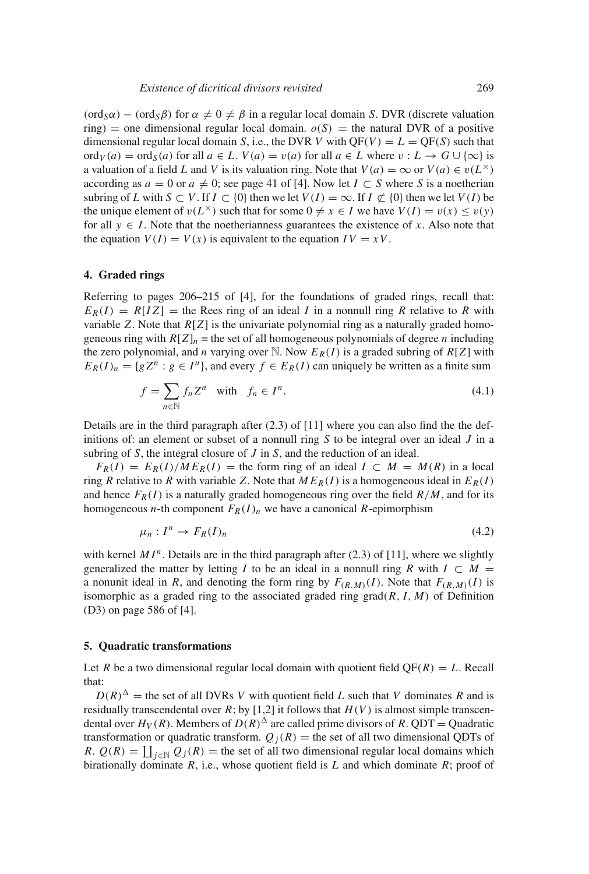(ord<sub>S</sub> $\alpha$ ) − (ord<sub>S</sub> $\beta$ ) for  $\alpha \neq 0 \neq \beta$  in a regular local domain *S*. DVR (discrete valuation ring) = one dimensional regular local domain.  $o(S)$  = the natural DVR of a positive dimensional regular local domain *S*, i.e., the DVR *V* with  $QF(V) = L = QF(S)$  such that ord<sub>*V*</sub> (*a*) = ord<sub>*S*</sub>(*a*) for all  $a \in L$ . *V*(*a*) = *v*(*a*) for all  $a \in L$  where  $v : L \to G \cup \{\infty\}$  is a valuation of a field *L* and *V* is its valuation ring. Note that  $V(a) = \infty$  or  $V(a) \in v(L^{\times})$ according as  $a = 0$  or  $a \neq 0$ ; see page 41 of [4]. Now let  $I \subset S$  where *S* is a noetherian subring of *L* with  $S \subset V$ . If  $I \subset \{0\}$  then we let  $V(I) = \infty$ . If  $I \nsubseteq \{0\}$  then we let  $V(I)$  be the unique element of  $v(L^{\times})$  such that for some  $0 \neq x \in I$  we have  $V(I) = v(x) \leq v(y)$ for all  $y \in I$ . Note that the noetherianness guarantees the existence of x. Also note that the equation  $V(I) = V(x)$  is equivalent to the equation  $IV = xV$ .

### **4. Graded rings**

Referring to pages 206–215 of [4], for the foundations of graded rings, recall that:  $E_R(I) = R[IZ]$  = the Rees ring of an ideal *I* in a nonnull ring *R* relative to *R* with variable *Z*. Note that *R*[*Z*] is the univariate polynomial ring as a naturally graded homogeneous ring with  $R[Z]_n$  = the set of all homogeneous polynomials of degree *n* including the zero polynomial, and *n* varying over N. Now  $E_R(I)$  is a graded subring of  $R[Z]$  with  $E_R(I)_n = \{gZ^n : g \in I^n\}$ , and every  $f \in E_R(I)$  can uniquely be written as a finite sum

$$
f = \sum_{n \in \mathbb{N}} f_n Z^n \quad \text{with} \quad f_n \in I^n. \tag{4.1}
$$

Details are in the third paragraph after  $(2.3)$  of  $[11]$  where you can also find the the definitions of: an element or subset of a nonnull ring *S* to be integral over an ideal *J* in a subring of *S*, the integral closure of *J* in *S*, and the reduction of an ideal.

 $F_R(I) = E_R(I)/M E_R(I)$  = the form ring of an ideal  $I \subset M = M(R)$  in a local ring *R* relative to *R* with variable *Z*. Note that  $ME_R(I)$  is a homogeneous ideal in  $E_R(I)$ and hence  $F_R(I)$  is a naturally graded homogeneous ring over the field  $R/M$ , and for its homogeneous *n*-th component  $F_R(I)_n$  we have a canonical *R*-epimorphism

$$
\mu_n: I^n \to F_R(I)_n \tag{4.2}
$$

with kernel  $MI<sup>n</sup>$ . Details are in the third paragraph after (2.3) of [11], where we slightly generalized the matter by letting *I* to be an ideal in a nonnull ring *R* with  $I \subset M$  = a nonunit ideal in *R*, and denoting the form ring by  $F_{(R,M)}(I)$ . Note that  $F_{(R,M)}(I)$  is isomorphic as a graded ring to the associated graded ring  $\text{grad}(R, I, M)$  of Definition (D3) on page 586 of [4].

#### **5. Quadratic transformations**

Let *R* be a two dimensional regular local domain with quotient field  $QF(R) = L$ . Recall that:

 $D(R)^{\Delta}$  = the set of all DVRs *V* with quotient field *L* such that *V* dominates *R* and is residually transcendental over  $R$ ; by [1,2] it follows that  $H(V)$  is almost simple transcendental over  $H_V(R)$ . Members of  $D(R)^{\Delta}$  are called prime divisors of *R*. QDT = Quadratic transformation or quadratic transform.  $Q_i(R)$  = the set of all two dimensional QDTs of *R*.  $Q(R) = \coprod_{j \in \mathbb{N}} Q_j(R)$  = the set of all two dimensional regular local domains which birationally dominate *R*, i.e., whose quotient field is *L* and which dominate *R*; proof of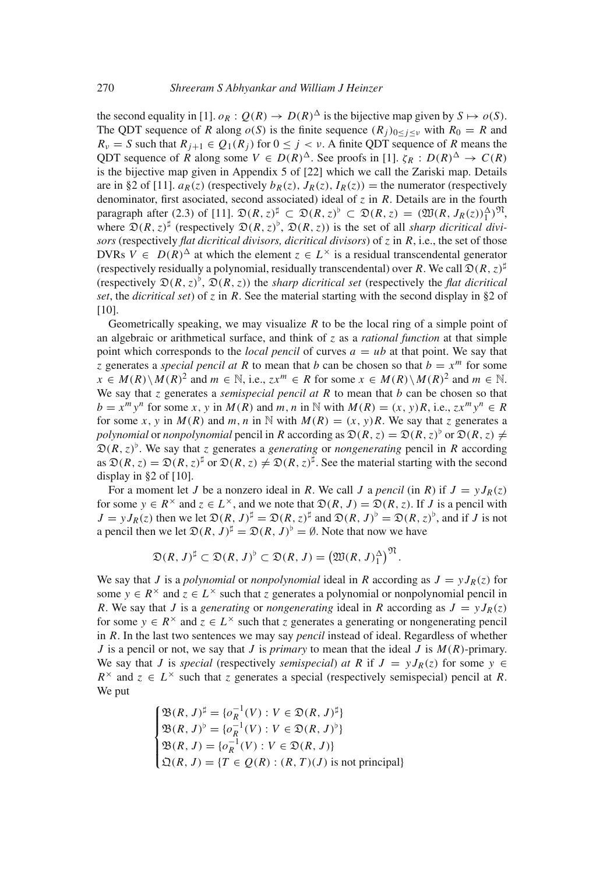the second equality in [1].  $o_R : Q(R) \to D(R)^{\Delta}$  is the bijective map given by  $S \mapsto o(S)$ . The QDT sequence of *R* along  $o(S)$  is the finite sequence  $(R_i)_{0 \le i \le v}$  with  $R_0 = R$  and  $R_v = S$  such that  $R_{i+1} \in Q_1(R_i)$  for  $0 \leq j \leq v$ . A finite QDT sequence of *R* means the QDT sequence of *R* along some  $V \in D(R)^{\Delta}$ . See proofs in [1].  $\zeta_R : D(R)^{\Delta} \to C(R)$ is the bijective map given in Appendix 5 of [22] which we call the Zariski map. Details are in §2 of [11].  $a_R(z)$  (respectively  $b_R(z)$ ,  $J_R(z)$ ,  $I_R(z)$ ) = the numerator (respectively denominator, first asociated, second associated) ideal of *z* in *R*. Details are in the fourth paragraph after (2.3) of [11].  $\mathfrak{D}(R, z)^{\sharp} \subset \mathfrak{D}(R, z)^{\flat} \subset \mathfrak{D}(R, z) = (\mathfrak{W}(R, J_R(z))^{\Lambda})^{\mathfrak{N}}$ , where  $\mathfrak{D}(R, z)^{\sharp}$  (respectively  $\mathfrak{D}(R, z)^{\flat}$ ,  $\mathfrak{D}(R, z)$ ) is the set of all *sharp dicritical divisors* (respectively *flat dicritical divisors, dicritical divisors*) of  $z$  in  $R$ , i.e., the set of those DVRs  $V \in D(R)^{\Delta}$  at which the element  $z \in L^{\times}$  is a residual transcendental generator (respectively residually a polynomial, residually transcendental) over *R*. We call  $\mathfrak{D}(R, z)^{\sharp}$ (respectively  $\mathfrak{D}(R, z)$ <sup>b</sup>,  $\mathfrak{D}(R, z)$ ) the *sharp dicritical set* (respectively the *flat dicritical set*, the *dicritical set*) of *z* in *R*. See the material starting with the second display in §2 of [10].

Geometrically speaking, we may visualize  $R$  to be the local ring of a simple point of an algebraic or arithmetical surface, and think of *z* as a *rational function* at that simple point which corresponds to the *local pencil* of curves  $a = ub$  at that point. We say that *z* generates a *special pencil at R* to mean that *b* can be chosen so that  $b = x^m$  for some  $x \in M(R) \setminus M(R)^2$  and  $m \in \mathbb{N}$ , i.e.,  $zx^m \in R$  for some  $x \in M(R) \setminus M(R)^2$  and  $m \in \mathbb{N}$ . We say that *z* generates a *semispecial pencil at R* to mean that *b* can be chosen so that  $b = x^m y^n$  for some x, y in  $M(R)$  and m, n in N with  $M(R) = (x, y)R$ , i.e.,  $zx^m y^n \in R$ for some *x*, *y* in  $M(R)$  and  $m, n$  in N with  $M(R) = (x, y)R$ . We say that *z* generates a *polynomial* or *nonpolynomial* pencil in *R* according as  $\mathfrak{D}(R, z) = \mathfrak{D}(R, z)$  or  $\mathfrak{D}(R, z) \neq 0$  $\mathfrak{D}(R, z)$ <sup>b</sup>. We say that *z* generates a *generating* or *nongenerating* pencil in *R* according as  $\mathfrak{D}(R, z) = \mathfrak{D}(R, z)^{\sharp}$  or  $\mathfrak{D}(R, z) \neq \mathfrak{D}(R, z)^{\sharp}$ . See the material starting with the second display in §2 of [10].

For a moment let *J* be a nonzero ideal in *R*. We call *J* a *pencil* (in *R*) if  $J = yJ_R(z)$ for some  $y \in R^{\times}$  and  $z \in L^{\times}$ , and we note that  $\mathfrak{D}(R, J) = \mathfrak{D}(R, z)$ . If *J* is a pencil with  $J = yJ_R(z)$  then we let  $\mathfrak{D}(R, J)^\sharp = \mathfrak{D}(R, z)^\sharp$  and  $\mathfrak{D}(R, J)^\flat = \mathfrak{D}(R, z)^\flat$ , and if *J* is not a pencil then we let  $\mathfrak{D}(R, J)^{\sharp} = \mathfrak{D}(R, J)^{\flat} = \emptyset$ . Note that now we have

$$
\mathfrak{D}(R, J)^{\sharp} \subset \mathfrak{D}(R, J)^{\flat} \subset \mathfrak{D}(R, J) = \big(\mathfrak{W}(R, J)_{1}^{\Delta}\big)^{\mathfrak{N}}.
$$

We say that *J* is a *polynomial* or *nonpolynomial* ideal in *R* according as  $J = yJ_R(z)$  for some  $y \in R^{\times}$  and  $z \in L^{\times}$  such that *z* generates a polynomial or nonpolynomial pencil in *R*. We say that *J* is a *generating* or *nongenerating* ideal in *R* according as  $J = yJ_R(z)$ for some  $y \in R^{\times}$  and  $z \in L^{\times}$  such that *z* generates a generating or nongenerating pencil in *R*. In the last two sentences we may say *pencil* instead of ideal. Regardless of whether *J* is a pencil or not, we say that *J* is *primary* to mean that the ideal *J* is *M*(*R*)-primary. We say that *J* is *special* (respectively *semispecial*) *at R* if  $J = yJ_R(z)$  for some  $y \in$  $R^{\times}$  and  $z \in L^{\times}$  such that *z* generates a special (respectively semispecial) pencil at *R*. We put

$$
\begin{cases}\n\mathfrak{B}(R, J)^{\sharp} = \{o_R^{-1}(V) : V \in \mathfrak{D}(R, J)^{\sharp}\} \\
\mathfrak{B}(R, J)^{\flat} = \{o_R^{-1}(V) : V \in \mathfrak{D}(R, J)^{\flat}\} \\
\mathfrak{B}(R, J) = \{o_R^{-1}(V) : V \in \mathfrak{D}(R, J)\} \\
\mathfrak{Q}(R, J) = \{T \in Q(R) : (R, T)(J) \text{ is not principal}\}\n\end{cases}
$$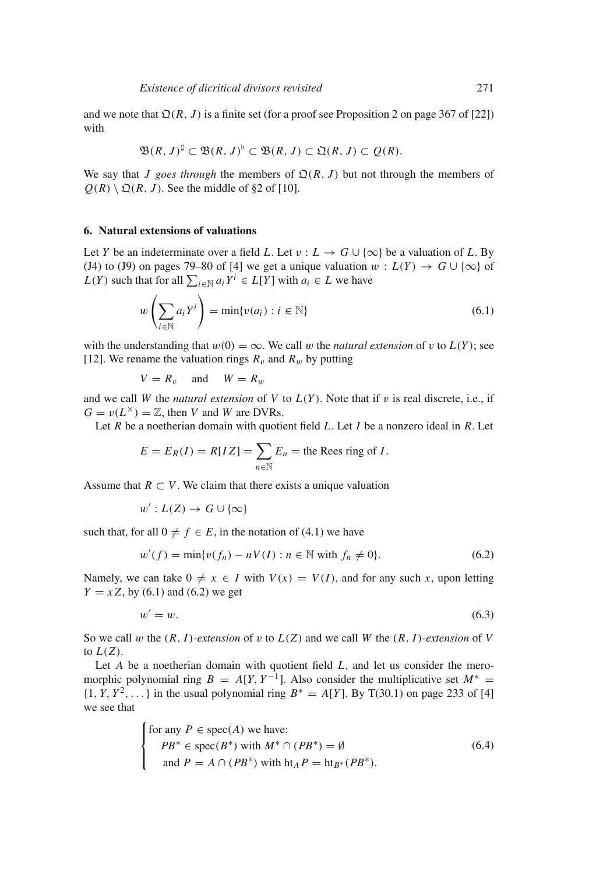and we note that  $\mathfrak{Q}(R, J)$  is a finite set (for a proof see Proposition 2 on page 367 of [22]) with

$$
\mathfrak{B}(R, J)^{\sharp} \subset \mathfrak{B}(R, J)^{\flat} \subset \mathfrak{B}(R, J) \subset \mathfrak{Q}(R, J) \subset \mathcal{Q}(R).
$$

We say that *J goes through* the members of  $Q(R, J)$  but not through the members of  $Q(R) \setminus \mathfrak{Q}(R, J)$ . See the middle of §2 of [10].

#### **6. Natural extensions of valuations**

Let *Y* be an indeterminate over a field *L*. Let  $v: L \to G \cup \{\infty\}$  be a valuation of *L*. By (J4) to (J9) on pages 79–80 of [4] we get a unique valuation  $w : L(Y) \to G \cup \{\infty\}$  of *L*(*Y*) such that for all  $\sum_{i \in \mathbb{N}} a_i Y^i \in L[Y]$  with  $a_i \in L$  we have

$$
w\left(\sum_{i\in\mathbb{N}}a_iY^i\right)=\min\{v(a_i):i\in\mathbb{N}\}\tag{6.1}
$$

with the understanding that  $w(0) = \infty$ . We call w the *natural extension* of v to  $L(Y)$ ; see [12]. We rename the valuation rings  $R_v$  and  $R_w$  by putting

 $V = R_v$  and  $W = R_w$ 

and we call *W* the *natural extension* of *V* to  $L(Y)$ . Note that if v is real discrete, i.e., if  $G = v(L^{\times}) = \mathbb{Z}$ , then *V* and *W* are DVRs.

Let *R* be a noetherian domain with quotient field *L*. Let *I* be a nonzero ideal in *R*. Let

$$
E = E_R(I) = R[IZ] = \sum_{n \in \mathbb{N}} E_n
$$
 = the Rees ring of *I*.

Assume that  $R \subset V$ . We claim that there exists a unique valuation

$$
w': L(Z) \to G \cup \{\infty\}
$$

such that, for all  $0 \neq f \in E$ , in the notation of (4.1) we have

$$
w'(f) = \min\{v(f_n) - nV(I) : n \in \mathbb{N} \text{ with } f_n \neq 0\}.
$$
 (6.2)

Namely, we can take  $0 \neq x \in I$  with  $V(x) = V(I)$ , and for any such *x*, upon letting *Y* = *x Z*, by (6.1) and (6.2) we get

$$
w' = w.\t\t(6.3)
$$

So we call w the  $(R, I)$ -extension of v to  $L(Z)$  and we call W the  $(R, I)$ -extension of V to  $L(Z)$ .

Let *A* be a noetherian domain with quotient field *L*, and let us consider the meromorphic polynomial ring  $B = A[Y, Y^{-1}]$ . Also consider the multiplicative set  $M^* =$  $\{1, Y, Y^2, \ldots\}$  in the usual polynomial ring  $B^* = A[Y]$ . By T(30.1) on page 233 of [4] we see that

for any 
$$
P \in \text{spec}(A)
$$
 we have:  
\n
$$
PB^* \in \text{spec}(B^*) \text{ with } M^* \cap (PB^*) = \emptyset
$$
\nand  $P = A \cap (PB^*)$  with  $\text{ht}_A P = \text{ht}_{B^*}(PB^*)$ . (6.4)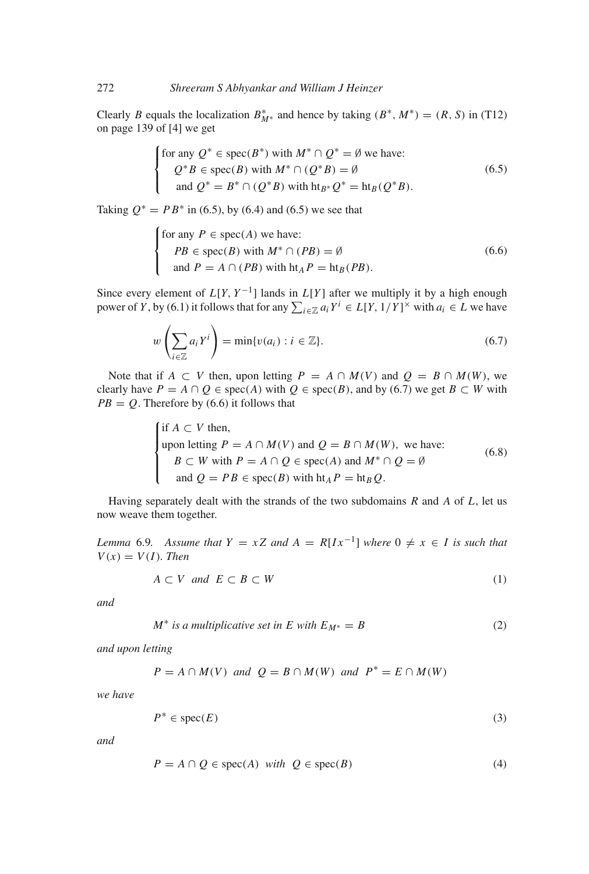Clearly *B* equals the localization  $B_{M^*}^*$  and hence by taking  $(B^*, M^*) = (R, S)$  in (T12) on page 139 of [4] we get

$$
\begin{cases}\n\text{for any } Q^* \in \text{spec}(B^*) \text{ with } M^* \cap Q^* = \emptyset \text{ we have:} \\
Q^*B \in \text{spec}(B) \text{ with } M^* \cap (Q^*B) = \emptyset \\
\text{ and } Q^* = B^* \cap (Q^*B) \text{ with } \text{ht}_{B^*}Q^* = \text{ht}_B(Q^*B).\n\end{cases} \tag{6.5}
$$

Taking  $Q^* = PB^*$  in (6.5), by (6.4) and (6.5) we see that

for any 
$$
P \in \text{spec}(A)
$$
 we have:  
\n
$$
PB \in \text{spec}(B) \text{ with } M^* \cap (PB) = \emptyset
$$
\nand  $P = A \cap (PB)$  with  $\text{ht}_A P = \text{ht}_B(PB)$ . (6.6)

Since every element of  $L[Y, Y^{-1}]$  lands in  $L[Y]$  after we multiply it by a high enough power of *Y*, by (6.1) it follows that for any  $\sum_{i \in \mathbb{Z}} a_i Y^i \in L[Y, 1/Y]^{\times}$  with  $a_i \in L$  we have

$$
w\left(\sum_{i\in\mathbb{Z}}a_iY^i\right)=\min\{v(a_i):i\in\mathbb{Z}\}.
$$
\n(6.7)

Note that if  $A \subset V$  then, upon letting  $P = A \cap M(V)$  and  $Q = B \cap M(W)$ , we clearly have  $P = A \cap Q \in \text{spec}(A)$  with  $Q \in \text{spec}(B)$ , and by (6.7) we get  $B \subset W$  with  $PB = Q$ . Therefore by (6.6) it follows that

\n if 
$$
A \subset V
$$
 then,\n   
\n upon letting  $P = A \cap M(V)$  and  $Q = B \cap M(W)$ , we have:\n   
\n $B \subset W$  with  $P = A \cap Q \in \text{spec}(A)$  and  $M^* \cap Q = \emptyset$ \n  
\n and  $Q = PB \in \text{spec}(B)$  with  $\text{ht}_A P = \text{ht}_B Q$ .\n

Having separately dealt with the strands of the two subdomains *R* and *A* of *L*, let us now weave them together.

*Lemma* 6.9*.* Assume that  $Y = xZ$  and  $A = R[Ix^{-1}]$  where  $0 \neq x \in I$  is such that  $V(x) = V(I)$ *. Then* 

$$
A \subset V \quad and \quad E \subset B \subset W \tag{1}
$$

*and*

$$
M^* \text{ is a multiplicative set in } E \text{ with } E_{M^*} = B \tag{2}
$$

*and upon letting*

$$
P = A \cap M(V)
$$
 and  $Q = B \cap M(W)$  and  $P^* = E \cap M(W)$ 

*we have*

$$
P^* \in \text{spec}(E) \tag{3}
$$

*and*

$$
P = A \cap Q \in \text{spec}(A) \text{ with } Q \in \text{spec}(B) \tag{4}
$$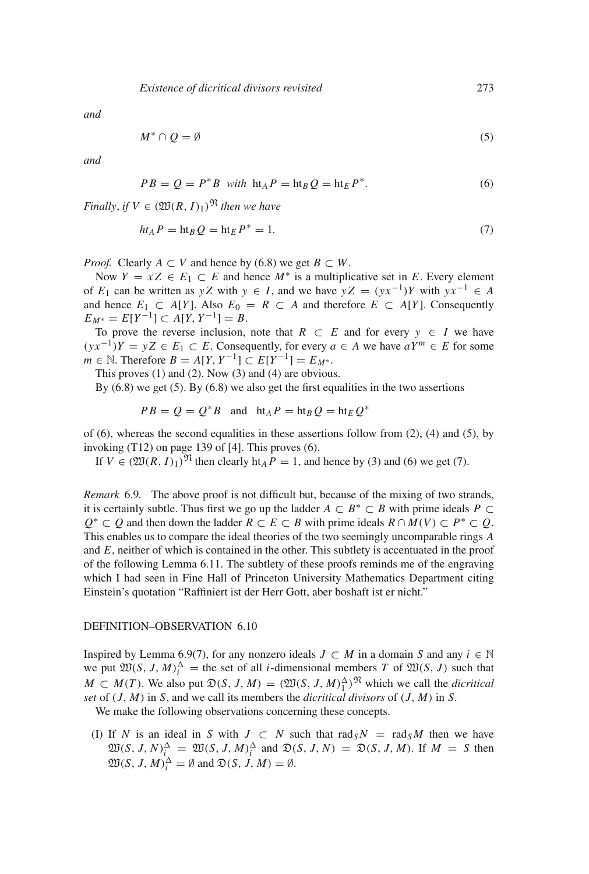*and*

$$
M^* \cap Q = \emptyset \tag{5}
$$

*and*

$$
PB = Q = P^*B \text{ with } \text{ht}_A P = \text{ht}_B Q = \text{ht}_E P^*.
$$
 (6)

*Finally, if*  $V \in (\mathfrak{W}(R, I)_1)^{\mathfrak{N}}$  *then we have* 

$$
ht_A P = ht_B Q = ht_E P^* = 1.
$$
\n(7)

*Proof.* Clearly  $A \subset V$  and hence by (6.8) we get  $B \subset W$ .

Now  $Y = xZ \in E_1 \subset E$  and hence  $M^*$  is a multiplicative set in E. Every element of *E*<sub>1</sub> can be written as *yZ* with *y* ∈ *I*, and we have  $yZ = (yx^{-1})Y$  with  $yx^{-1} \in A$ and hence  $E_1 \subset A[Y]$ . Also  $E_0 = R \subset A$  and therefore  $E \subset A[Y]$ . Consequently  $E_{M^*} = E[Y^{-1}] \subset A[Y, Y^{-1}] = B.$ 

To prove the reverse inclusion, note that  $R \subset E$  and for every  $y \in I$  we have  $(yx^{-1})Y = yZ \in E_1 \subset E$ . Consequently, for every *a* ∈ *A* we have  $aY^m \in E$  for some *m* ∈ *N*. Therefore *B* = *A*[*Y*, *Y*<sup>-1</sup>] ⊂ *E*[*Y*<sup>-1</sup>] = *E<sub>M</sub>*∗.

This proves (1) and (2). Now (3) and (4) are obvious.

By  $(6.8)$  we get  $(5)$ . By  $(6.8)$  we also get the first equalities in the two assertions

$$
PB = Q = Q^*B \text{ and } ht_A P = ht_B Q = ht_E Q^*
$$

of  $(6)$ , whereas the second equalities in these assertions follow from  $(2)$ ,  $(4)$  and  $(5)$ , by invoking (T12) on page 139 of [4]. This proves (6).

If  $V \in (\mathfrak{W}(R, I)_1)^{\mathfrak{N}}$  then clearly ht<sub>A</sub>  $P = 1$ , and hence by (3) and (6) we get (7).

*Remark* 6.9*.* The above proof is not difficult but, because of the mixing of two strands, it is certainly subtle. Thus first we go up the ladder  $A \subset B^* \subset B$  with prime ideals  $P \subset$ *Q*<sup>∗</sup> ⊂ *Q* and then down the ladder  $R \subset E \subset B$  with prime ideals  $R \cap M(V) \subset P^* \subset Q$ . This enables us to compare the ideal theories of the two seemingly uncomparable rings *A* and *E*, neither of which is contained in the other. This subtlety is accentuated in the proof of the following Lemma 6.11. The subtlety of these proofs reminds me of the engraving which I had seen in Fine Hall of Princeton University Mathematics Department citing Einstein's quotation "Raffiniert ist der Herr Gott, aber boshaft ist er nicht."

#### DEFINITION–OBSERVATION 6.10

Inspired by Lemma 6.9(7), for any nonzero ideals  $J \subset M$  in a domain *S* and any  $i \in \mathbb{N}$ we put  $\mathfrak{W}(S, J, M)_i^{\Delta}$  = the set of all *i*-dimensional members *T* of  $\mathfrak{W}(S, J)$  such that *M* ⊂ *M*(*T*). We also put  $\mathfrak{D}(S, J, M) = (\mathfrak{W}(S, J, M)^{\Delta}_{1})^{\mathfrak{N}}$  which we call the *dicritical set* of (*J*, *M*) in *S*, and we call its members the *dicritical divisors* of (*J*, *M*) in *S*.

We make the following observations concerning these concepts.

(I) If *N* is an ideal in *S* with *J* ⊂ *N* such that rad<sub>*SN*</sub> = rad<sub>*SM*</sub> then we have  $\mathfrak{W}(S, J, N)_{i}^{\Delta} = \mathfrak{W}(S, J, M)_{i}^{\Delta}$  and  $\mathfrak{D}(S, J, N) = \mathfrak{D}(S, J, M)$ . If  $M = S$  then  $\mathfrak{W}(S, J, M)_i^{\Delta} = \emptyset$  and  $\mathfrak{D}(S, J, M) = \emptyset$ .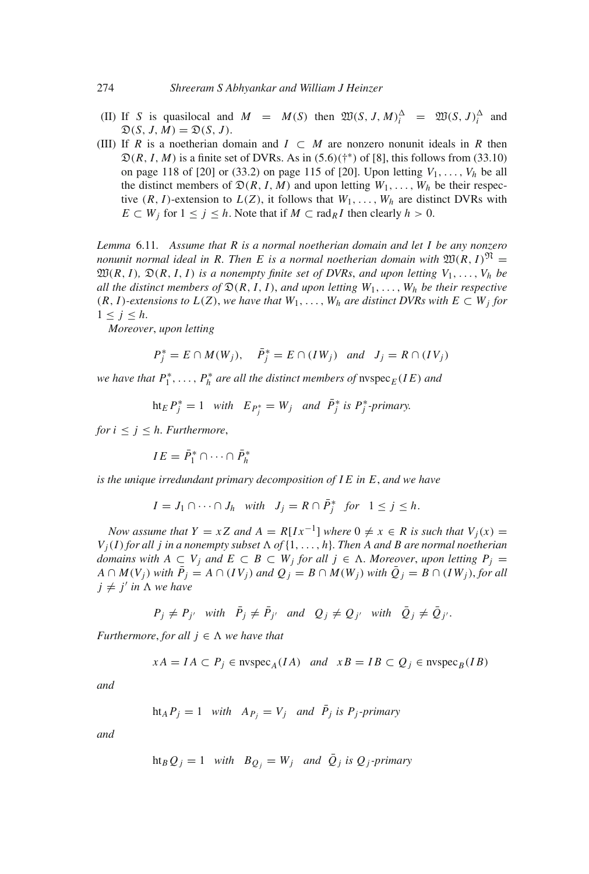- (II) If *S* is quasilocal and  $M = M(S)$  then  $\mathfrak{W}(S, J, M)_i^{\Delta} = \mathfrak{W}(S, J)_i^{\Delta}$  and  $\mathfrak{D}(S, J, M) = \mathfrak{D}(S, J).$
- (III) If *R* is a noetherian domain and  $I \subset M$  are nonzero nonunit ideals in *R* then  $\mathfrak{D}(R, I, M)$  is a finite set of DVRs. As in  $(5.6)($ <sup>+\*</sup>) of [8], this follows from  $(33.10)$ on page 118 of [20] or (33.2) on page 115 of [20]. Upon letting  $V_1, \ldots, V_h$  be all the distinct members of  $\mathfrak{D}(R, I, M)$  and upon letting  $W_1, \ldots, W_h$  be their respective  $(R, I)$ -extension to  $L(Z)$ , it follows that  $W_1, \ldots, W_h$  are distinct DVRs with *E*  $\subset$  *W<sub>j</sub>* for  $1 \le j \le h$ . Note that if *M*  $\subset$  rad<sub>*R*</sub>*I* then clearly *h* > 0.

*Lemma* 6.11*. Assume that R is a normal noetherian domain and let I be any nonzero nonunit normal ideal in R. Then E is a normal noetherian domain with*  $\mathfrak{W}(R, I)^{\mathfrak{N}} =$  $\mathfrak{W}(R, I)$ ,  $\mathfrak{D}(R, I, I)$  *is a nonempty finite set of DVRs, and upon letting*  $V_1, \ldots, V_h$  *be all the distinct members of*  $\mathfrak{D}(R, I, I)$ , *and upon letting*  $W_1, \ldots, W_h$  *be their respective*  $(R, I)$ *-extensions to*  $L(Z)$ *, we have that*  $W_1, \ldots, W_h$  *are distinct DVRs with*  $E \subset W_i$  *for*  $1 \leq j \leq h$ .

*Moreover*, *upon letting*

$$
P_j^* = E \cap M(W_j), \quad \bar{P}_j^* = E \cap (IW_j) \quad \text{and} \quad J_j = R \cap (IV_j)
$$

*we have that*  $P_1^*, \ldots, P_h^*$  *are all the distinct members of*  $\text{nspec}_E(IE)$  *and* 

$$
ht_E P_j^* = 1 \quad with \quad E_{P_j^*} = W_j \quad and \quad \bar{P}_j^* \text{ is } P_j^* \text{-primary.}
$$

*for*  $i \leq j \leq h$ *. Furthermore,* 

 $IE = \bar{P}_1^* \cap \cdots \cap \bar{P}_h^*$ 

*is the unique irredundant primary decomposition of I E in E*, *and we have*

$$
I = J_1 \cap \cdots \cap J_h \quad with \quad J_j = R \cap \bar{P}_j^* \quad for \quad 1 \le j \le h.
$$

*Now assume that*  $Y = xZ$  *and*  $A = R[Ix^{-1}]$  *where*  $0 \neq x \in R$  *is such that*  $V_i(x) =$  $V_j(I)$  *for all j in a nonempty subset*  $\Lambda$  *of*  $\{1, \ldots, h\}$ *. Then A and B are normal noetherian domains with*  $A ⊂ V_j$  *and*  $E ⊂ B ⊂ W_j$  *for all*  $j ∈ Λ$ *. Moreover, upon letting*  $P_j =$ *A* ∩ *M*(*V<sub>j</sub>*) *with*  $\overline{P}_j$  = *A* ∩ (*IV<sub>j</sub>*) *and*  $Q_j$  = *B* ∩ *M*(*W<sub>j</sub>*) *with*  $\overline{Q}_j$  = *B* ∩ (*IW<sub>j</sub>*), *for all*  $j \neq j'$  *in*  $\Lambda$  *we have* 

$$
P_j \neq P_{j'}
$$
 with  $\bar{P}_j \neq \bar{P}_{j'}$  and  $Q_j \neq Q_{j'}$  with  $\bar{Q}_j \neq \bar{Q}_{j'}$ .

*Furthermore, for all*  $j \in \Lambda$  *we have that* 

$$
xA = IA \subset P_j \in \text{nvspec}_A(IA) \quad and \quad xB = IB \subset Q_j \in \text{nvspec}_B(IB)
$$

*and*

$$
ht_A P_j = 1
$$
 with  $A_{P_j} = V_j$  and  $\bar{P}_j$  is  $P_j$ -primary

*and*

ht<sub>B</sub> 
$$
Q_j = 1
$$
 with  $B_{Q_j} = W_j$  and  $\overline{Q}_j$  is  $Q_j$ -primary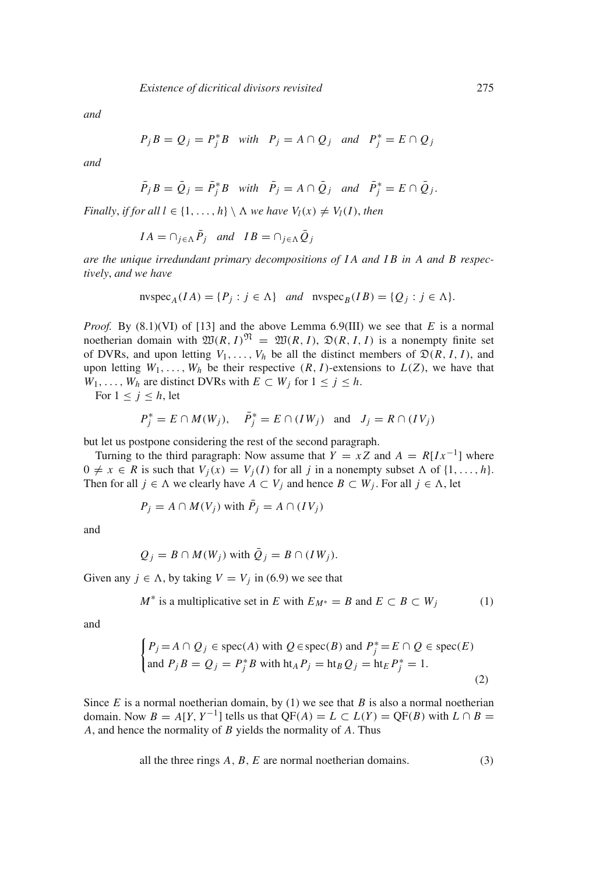*and*

$$
P_j B = Q_j = P_j^* B \quad with \quad P_j = A \cap Q_j \quad and \quad P_j^* = E \cap Q_j
$$

*and*

$$
\overline{P}_j B = \overline{Q}_j = \overline{P}_j^* B \quad with \quad \overline{P}_j = A \cap \overline{Q}_j \quad and \quad \overline{P}_j^* = E \cap \overline{Q}_j.
$$

*Finally, if for all l* ∈ {1, ..., *h*}  $\setminus \Lambda$  *we have*  $V_l(x) \neq V_l(I)$ *, then* 

$$
IA = \cap_{j \in \Lambda} \bar{P}_j \quad and \quad IB = \cap_{j \in \Lambda} \bar{Q}_j
$$

*are the unique irredundant primary decompositions of I A and I B in A and B respectively*, *and we have*

nvspec<sub>A</sub>
$$
(IA) = {P_j : j \in \Lambda}
$$
 and nvspec<sub>B</sub> $(IB) = {Q_j : j \in \Lambda}$ .

*Proof.* By (8.1)(VI) of [13] and the above Lemma 6.9(III) we see that *E* is a normal noetherian domain with  $\mathfrak{W}(R, I)^\mathfrak{N} = \mathfrak{W}(R, I), \mathfrak{D}(R, I, I)$  is a nonempty finite set of DVRs, and upon letting  $V_1, \ldots, V_h$  be all the distinct members of  $\mathfrak{D}(R, I, I)$ , and upon letting  $W_1, \ldots, W_h$  be their respective  $(R, I)$ -extensions to  $L(Z)$ , we have that *W*<sub>1</sub>, ..., *W*<sub>h</sub> are distinct DVRs with  $E \subset W_j$  for  $1 \leq j \leq h$ .

For  $1 \leq j \leq h$ , let

$$
P_j^* = E \cap M(W_j), \quad \bar{P}_j^* = E \cap (IW_j) \quad \text{and} \quad J_j = R \cap (IV_j)
$$

but let us postpone considering the rest of the second paragraph.

Turning to the third paragraph: Now assume that  $Y = xZ$  and  $A = R[Ix^{-1}]$  where  $0 \neq x \in R$  is such that  $V_i(x) = V_i(I)$  for all *j* in a nonempty subset  $\Lambda$  of  $\{1, \ldots, h\}$ . Then for all  $j \in \Lambda$  we clearly have  $A \subset V_j$  and hence  $B \subset W_j$ . For all  $j \in \Lambda$ , let

$$
P_j = A \cap M(V_j) \text{ with } \overline{P}_j = A \cap (IV_j)
$$

and

$$
Q_j = B \cap M(W_j)
$$
 with  $\overline{Q}_j = B \cap (IW_j)$ .

Given any  $j \in \Lambda$ , by taking  $V = V_j$  in (6.9) we see that

$$
M^* \text{ is a multiplicative set in } E \text{ with } E_{M^*} = B \text{ and } E \subset B \subset W_j \tag{1}
$$

and

$$
\begin{cases}\nP_j = A \cap Q_j \in \text{spec}(A) \text{ with } Q \in \text{spec}(B) \text{ and } P_j^* = E \cap Q \in \text{spec}(E) \\
\text{and } P_j B = Q_j = P_j^* B \text{ with } \text{ht}_A P_j = \text{ht}_B Q_j = \text{ht}_E P_j^* = 1.\n\end{cases}
$$
\n(2)

Since  $E$  is a normal noetherian domain, by (1) we see that  $B$  is also a normal noetherian domain. Now  $B = A[Y, Y^{-1}]$  tells us that  $QF(A) = L \subset L(Y) = QF(B)$  with  $L \cap B =$ *A*, and hence the normality of *B* yields the normality of *A*. Thus

all the three rings  $A, B, E$  are normal noetherian domains.  $(3)$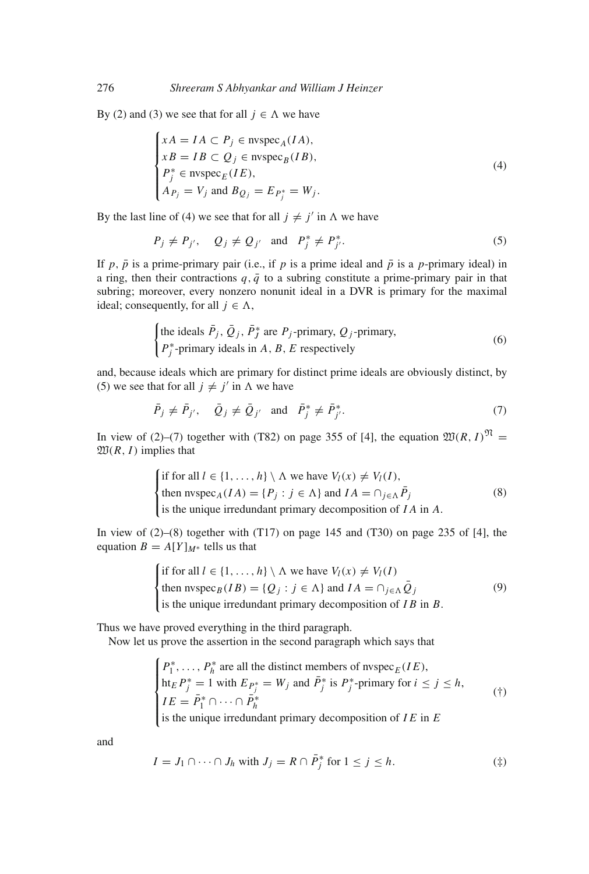By (2) and (3) we see that for all  $j \in \Lambda$  we have

$$
\begin{cases}\n xA = IA \subset P_j \in \text{nvspec}_A(IA), \\
 xB = IB \subset Q_j \in \text{nvspec}_B(IB), \\
 P_j^* \in \text{nvspec}_E(IE), \\
 A_{P_j} = V_j \text{ and } B_{Q_j} = E_{P_j^*} = W_j.\n\end{cases}
$$
\n(4)

By the last line of (4) we see that for all  $j \neq j'$  in  $\Lambda$  we have

$$
P_j \neq P_{j'}, \quad Q_j \neq Q_{j'} \quad \text{and} \quad P_j^* \neq P_{j'}^*.
$$

If *p*,  $\bar{p}$  is a prime-primary pair (i.e., if *p* is a prime ideal and  $\bar{p}$  is a *p*-primary ideal) in a ring, then their contractions  $q, \bar{q}$  to a subring constitute a prime-primary pair in that subring; moreover, every nonzero nonunit ideal in a DVR is primary for the maximal ideal; consequently, for all  $j \in \Lambda$ ,

\n The ideals 
$$
\bar{P}_j
$$
,  $\bar{Q}_j$ ,  $\bar{P}_j^*$  are  $P_j$ -primary,  $Q_j$ -primary,  $P_j^*$ -primary ideals in  $A$ ,  $B$ ,  $E$  respectively\n

\n\n (6)\n

and, because ideals which are primary for distinct prime ideals are obviously distinct, by (5) we see that for all  $j \neq j'$  in  $\Lambda$  we have

$$
\bar{P}_j \neq \bar{P}_{j'}, \quad \bar{Q}_j \neq \bar{Q}_{j'} \quad \text{and} \quad \bar{P}_j^* \neq \bar{P}_{j'}^*.
$$
 (7)

In view of (2)–(7) together with (T82) on page 355 of [4], the equation  $\mathfrak{W}(R, I)^\mathfrak{N} =$  $\mathfrak{W}(R, I)$  implies that

\n if for all 
$$
l \in \{1, \ldots, h\} \setminus \Lambda
$$
 we have  $V_l(x) \neq V_l(I)$ ,  
\n then  $\text{nspec}_A(IA) = \{P_j : j \in \Lambda\}$  and  $IA = \bigcap_{j \in \Lambda} \overline{P}_j$  (8)  
\n is the unique irredundant primary decomposition of  $IA$  in  $A$ .\n

In view of  $(2)$ – $(8)$  together with  $(T17)$  on page 145 and  $(T30)$  on page 235 of [4], the equation  $B = A[Y]_{M^*}$  tells us that

\n if for all 
$$
l \in \{1, \ldots, h\} \setminus \Lambda
$$
 we have  $V_l(x) \neq V_l(I)$    
\n then  $\text{nspec}_B(IB) = \{Q_j : j \in \Lambda\}$  and  $IA = \bigcap_{j \in \Lambda} \overline{Q}_j$    
\n is the unique irredundant primary decomposition of  $IB$  in  $B$ .\n

Thus we have proved everything in the third paragraph.

Now let us prove the assertion in the second paragraph which says that

$$
\begin{cases}\nP_1^*, \dots, P_h^* \text{ are all the distinct members of } \text{ntypec}_E(IE), \\
\text{ht}_E P_j^* = 1 \text{ with } E_{P_j^*} = W_j \text{ and } \bar{P}_j^* \text{ is } P_j^*\text{-primary for } i \le j \le h, \\
IE = \bar{P}_1^* \cap \dots \cap \bar{P}_h^*\n\end{cases} \tag{\dagger}
$$

is the unique irredundant primary decomposition of  $IE$  in  $E$ 

and

$$
I = J_1 \cap \dots \cap J_h \text{ with } J_j = R \cap \overline{P}_j^* \text{ for } 1 \le j \le h. \tag{\ddagger}
$$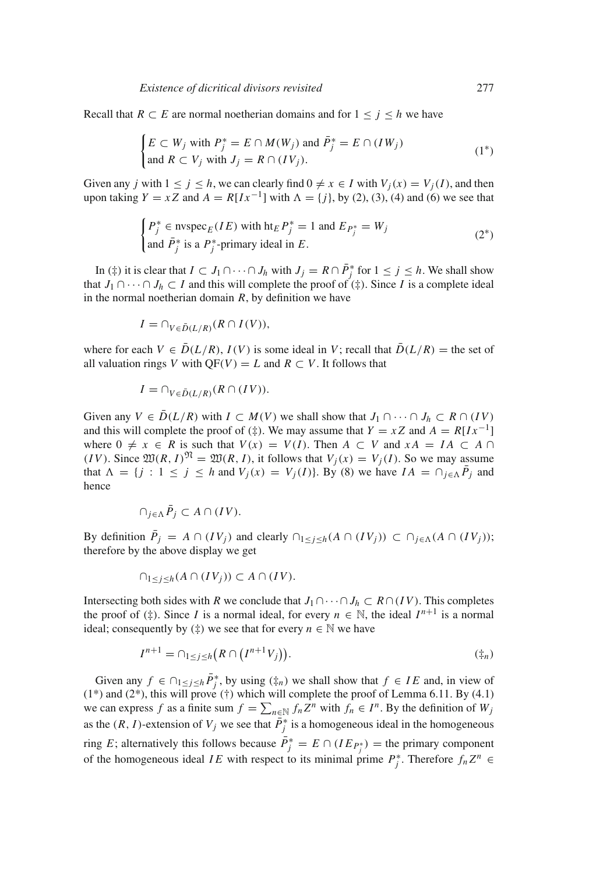Recall that  $R \subset E$  are normal noetherian domains and for  $1 \le j \le h$  we have

$$
\begin{cases}\nE \subset W_j \text{ with } P_j^* = E \cap M(W_j) \text{ and } \bar{P}_j^* = E \cap (IW_j) \\
\text{and } R \subset V_j \text{ with } J_j = R \cap (IV_j).\n\end{cases} (1^*)
$$

Given any *j* with  $1 \le j \le h$ , we can clearly find  $0 \ne x \in I$  with  $V_i(x) = V_i(I)$ , and then upon taking  $Y = xZ$  and  $A = R[Ix^{-1}]$  with  $\Lambda = \{j\}$ , by (2), (3), (4) and (6) we see that

$$
\begin{cases} P_j^* \in \text{nyspec}_E(IE) \text{ with ht}_E P_j^* = 1 \text{ and } E_{P_j^*} = W_j \\ \text{and } \bar{P}_j^* \text{ is a } P_j^* \text{-primary ideal in } E. \end{cases} \tag{2^*}
$$

In (‡) it is clear that  $I \subset J_1 \cap \cdots \cap J_h$  with  $J_j = R \cap \overline{P}_j^*$  for  $1 \le j \le h$ . We shall show that *J*<sub>1</sub> ∩ ··· ∩ *J*<sub>h</sub> ⊂ *I* and this will complete the proof of  $($ ‡). Since *I* is a complete ideal in the normal noetherian domain  $R$ , by definition we have

$$
I = \cap_{V \in \bar{D}(L/R)} (R \cap I(V))
$$

where for each  $V \in \overline{D}(L/R)$ ,  $I(V)$  is some ideal in V; recall that  $\overline{D}(L/R) =$  the set of all valuation rings *V* with  $OF(V) = L$  and  $R \subset V$ . It follows that

$$
I = \cap_{V \in \bar{D}(L/R)} (R \cap (IV)).
$$

Given any  $V \in \overline{D}(L/R)$  with  $I \subset M(V)$  we shall show that  $J_1 \cap \cdots \cap J_h \subset R \cap (IV)$ and this will complete the proof of  $(\frac{4}{3})$ . We may assume that  $Y = xZ$  and  $A = R[Ix^{-1}]$ where  $0 \neq x \in R$  is such that  $V(x) = V(I)$ . Then  $A \subset V$  and  $xA = IA \subset A \cap I$ (*IV*). Since  $\mathfrak{W}(R, I)^\mathfrak{N} = \mathfrak{W}(R, I)$ , it follows that  $V_i(x) = V_i(I)$ . So we may assume that  $\Lambda = \{j : 1 \le j \le h \text{ and } V_j(x) = V_j(I)\}\)$ . By (8) we have  $IA = \bigcap_{j \in \Lambda} \overline{P}_j$  and hence

$$
\cap_{j\in\Lambda}\bar{P}_j\subset A\cap (IV).
$$

By definition  $\bar{P}_j = A \cap (IV_j)$  and clearly  $\cap_{1 \leq j \leq h} (A \cap (IV_j)) \subset \cap_{j \in \Lambda} (A \cap (IV_j));$ therefore by the above display we get

$$
\cap_{1 \le j \le h} (A \cap (IV_j)) \subset A \cap (IV).
$$

Intersecting both sides with *R* we conclude that  $J_1 \cap \cdots \cap J_h \subset R \cap (IV)$ . This completes the proof of  $(\ddagger)$ . Since *I* is a normal ideal, for every  $n \in \mathbb{N}$ , the ideal  $I^{n+1}$  is a normal ideal; consequently by  $(\ddagger)$  we see that for every  $n \in \mathbb{N}$  we have

$$
I^{n+1} = \bigcap_{1 \le j \le h} \left( R \cap \left( I^{n+1} V_j \right) \right). \tag{\ddagger}_n
$$

Given any  $f \in \bigcap_{1 \leq j \leq h} \overline{P}_j^*$ , by using  $(\frac{t}{n})$  we shall show that  $f \in IE$  and, in view of  $(1^*)$  and  $(2^*)$ , this will prove  $(†)$  which will complete the proof of Lemma 6.11. By  $(4.1)$ we can express *f* as a finite sum  $f = \sum_{n \in \mathbb{N}} f_n Z^n$  with  $f_n \in I^n$ . By the definition of  $W_j$ as the  $(R, I)$ -extension of  $V_j$  we see that  $\overline{P}_j^*$  is a homogeneous ideal in the homogeneous ring *E*; alternatively this follows because  $\overline{P}_j^* = E \cap (I E_{P_j^*})$  = the primary component of the homogeneous ideal *IE* with respect to its minimal prime  $P_j^*$ . Therefore  $f_n Z^n$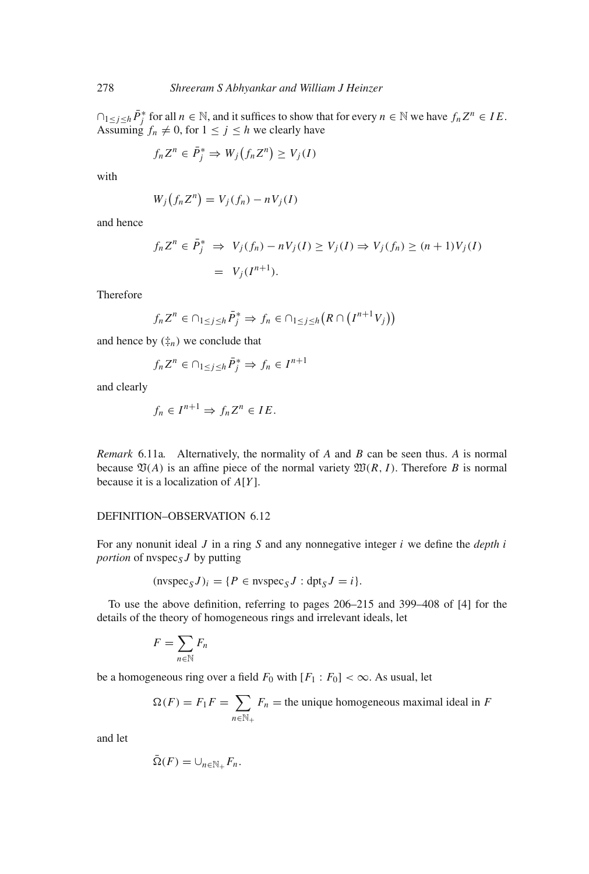$\bigcap_{1 \leq j \leq h} \bar{P}_j^*$  for all  $n \in \mathbb{N}$ , and it suffices to show that for every  $n \in \mathbb{N}$  we have  $f_n Z^n \in I E$ . Assuming  $f_n \neq 0$ , for  $1 \leq j \leq h$  we clearly have

$$
f_n Z^n \in \overline{P}_j^* \Rightarrow W_j(f_n Z^n) \ge V_j(I)
$$

with

$$
W_j(f_n Z^n) = V_j(f_n) - nV_j(I)
$$

and hence

$$
f_n Z^n \in \overline{P}_j^* \implies V_j(f_n) - nV_j(I) \ge V_j(I) \implies V_j(f_n) \ge (n+1)V_j(I)
$$
  
=  $V_j(I^{n+1}).$ 

Therefore

$$
f_n Z^n \in \cap_{1 \le j \le h} \overline{P}_j^* \Rightarrow f_n \in \cap_{1 \le j \le h} (R \cap (I^{n+1} V_j))
$$

and hence by  $(\frac{1}{k}n)$  we conclude that

$$
f_n Z^n \in \bigcap_{1 \le j \le h} \bar{P}_j^* \Rightarrow f_n \in I^{n+1}
$$

and clearly

$$
f_n \in I^{n+1} \Rightarrow f_n Z^n \in I E.
$$

*Remark* 6.11a*.* Alternatively, the normality of *A* and *B* can be seen thus. *A* is normal because  $\mathfrak{V}(A)$  is an affine piece of the normal variety  $\mathfrak{W}(R, I)$ . Therefore *B* is normal because it is a localization of *A*[*Y* ].

#### DEFINITION–OBSERVATION 6.12

For any nonunit ideal *J* in a ring *S* and any nonnegative integer *i* we define the *depth i portion* of nvspec<sub>S</sub>  $J$  by putting

$$
(\text{nvspec}_S J)_i = \{ P \in \text{nvspec}_S J : \text{dpt}_S J = i \}.
$$

To use the above definition, referring to pages 206–215 and 399–408 of [4] for the details of the theory of homogeneous rings and irrelevant ideals, let

$$
F=\sum_{n\in\mathbb{N}}F_n
$$

be a homogeneous ring over a field  $F_0$  with  $[F_1 : F_0] < \infty$ . As usual, let

$$
\Omega(F) = F_1 F = \sum_{n \in \mathbb{N}_+} F_n
$$
 = the unique homogeneous maximal ideal in *F*

and let

$$
\bar{\Omega}(F) = \cup_{n \in \mathbb{N}_+} F_n.
$$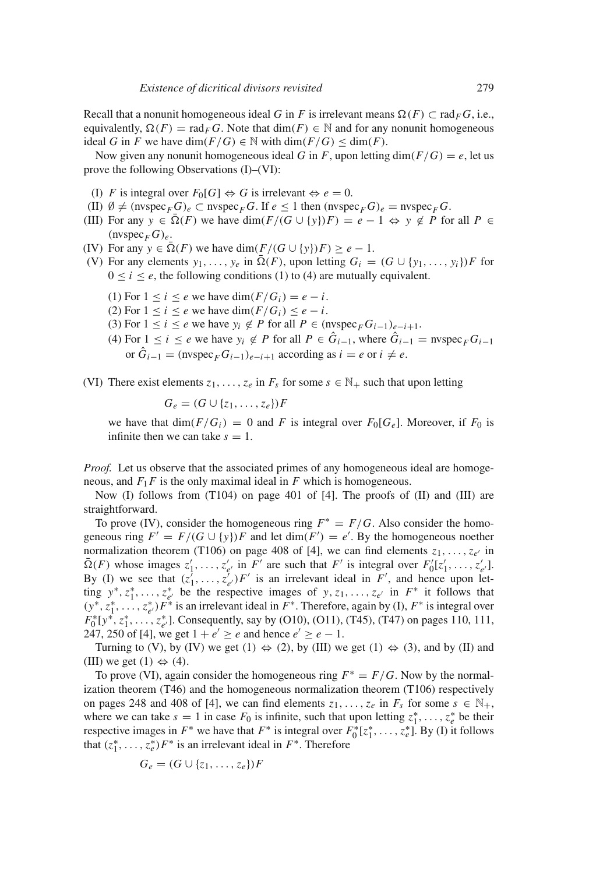Recall that a nonunit homogeneous ideal *G* in *F* is irrelevant means  $\Omega(F) \subset \text{rad}_F G$ , i.e., equivalently,  $\Omega(F) = \text{rad}_F G$ . Note that  $\dim(F) \in \mathbb{N}$  and for any nonunit homogeneous ideal *G* in *F* we have dim( $F/G$ )  $\in$  N with dim( $F/G$ )  $\le$  dim(*F*).

Now given any nonunit homogeneous ideal *G* in *F*, upon letting dim( $F/G$ ) = *e*, let us prove the following Observations (I)–(VI):

- (I) *F* is integral over  $F_0[G] \Leftrightarrow G$  is irrelevant  $\Leftrightarrow e = 0$ .
- (II)  $\emptyset \neq (\text{nyspec}_F G)_e \subset \text{nyspec}_F G$ . If  $e \leq 1$  then  $(\text{nyspec}_F G)_e = \text{nyspec}_F G$ .
- (III) For any  $y \in \overline{\Omega}(F)$  we have  $\dim(F/(G \cup \{y\})F) = e 1 \Leftrightarrow y \notin P$  for all  $P \in$  $(n \vee \text{spec}_F G)_e$ .
- (IV) For any  $y \in \overline{\Omega}(F)$  we have  $\dim(F/(G \cup \{y\})F) \ge e 1$ .
- (V) For any elements  $y_1, \ldots, y_e$  in  $\overline{\Omega}(F)$ , upon letting  $G_i = (G \cup \{y_1, \ldots, y_i\})F$  for  $0 \le i \le e$ , the following conditions (1) to (4) are mutually equivalent.
	- (1) For  $1 \leq i \leq e$  we have dim( $F/G_i$ ) =  $e i$ .
	- (2) For  $1 \leq i \leq e$  we have dim $(F/G_i) \leq e i$ .
	- (3) For  $1 \le i \le e$  we have  $y_i \notin P$  for all  $P \in (\text{nyspec}_F G_{i-1})_{e-i+1}$ .
	- (4) For  $1 \le i \le e$  we have  $y_i \notin P$  for all  $P \in \hat{G}_{i-1}$ , where  $\hat{G}_{i-1}$  = nvspec<sub>*F*</sub> $G_{i-1}$ or  $\hat{G}_{i-1}$  = (nvspec<sub>*F*</sub>  $G_{i-1}$ )<sub>*e*−*i*+1</sub> according as  $i = e$  or  $i \neq e$ .

(VI) There exist elements  $z_1, \ldots, z_e$  in  $F_s$  for some  $s \in \mathbb{N}_+$  such that upon letting

$$
G_e = (G \cup \{z_1, \ldots, z_e\})F
$$

we have that  $\dim(F/G_i) = 0$  and *F* is integral over  $F_0[G_e]$ . Moreover, if  $F_0$  is infinite then we can take  $s = 1$ .

*Proof.* Let us observe that the associated primes of any homogeneous ideal are homogeneous, and  $F_1F$  is the only maximal ideal in  $F$  which is homogeneous.

Now (I) follows from (T104) on page 401 of [4]. The proofs of (II) and (III) are straightforward.

To prove (IV), consider the homogeneous ring  $F^* = F/G$ . Also consider the homogeneous ring  $F' = F/(G \cup \{y\})F$  and let  $\dim(F') = e'$ . By the homogeneous noether normalization theorem (T106) on page 408 of [4], we can find elements  $z_1, \ldots, z_{e'}$  in  $\bar{\Omega}(F)$  whose images  $z'_1, \ldots, z'_{e'}$  in  $F'$  are such that  $F'$  is integral over  $F'_0[z'_1, \ldots, z'_{e'}]$ . By (I) we see that  $(z_1^j, \ldots, z_{e'}^j)F'$  is an irrelevant ideal in  $F'$ , and hence upon letting  $y^*, z_1^*, \ldots, z_{e'}^*$  be the respective images of  $y, z_1, \ldots, z_{e'}$  in  $F^*$  it follows that  $(y^*, z_1^*, \ldots, z_{e'}^*)$  *F*<sup>∗</sup> is an irrelevant ideal in *F*<sup>∗</sup>. Therefore, again by (I), *F*<sup>∗</sup> is integral over  $F_0^*[y^*, z_1^*, \ldots, z_{e'}^*]$ . Consequently, say by (O10), (O11), (T45), (T47) on pages 110, 111, 247, 250 of [4], we get  $1 + e' \ge e$  and hence  $e' \ge e - 1$ .

Turning to (V), by (IV) we get (1)  $\Leftrightarrow$  (2), by (III) we get (1)  $\Leftrightarrow$  (3), and by (II) and (III) we get  $(1) \Leftrightarrow (4)$ .

To prove (VI), again consider the homogeneous ring  $F^* = F/G$ . Now by the normalization theorem (T46) and the homogeneous normalization theorem (T106) respectively on pages 248 and 408 of [4], we can find elements  $z_1, \ldots, z_e$  in  $F_s$  for some  $s \in \mathbb{N}_+$ , where we can take  $s = 1$  in case  $F_0$  is infinite, such that upon letting  $z_1^*, \ldots, z_e^*$  be their respective images in  $F^*$  we have that  $F^*$  is integral over  $F_0^*[z_1^*, \ldots, z_e^*]$ . By (I) it follows that  $(z_1^*, \ldots, z_e^*) F^*$  is an irrelevant ideal in  $F^*$ . Therefore

$$
G_e = (G \cup \{z_1, \ldots, z_e\})F
$$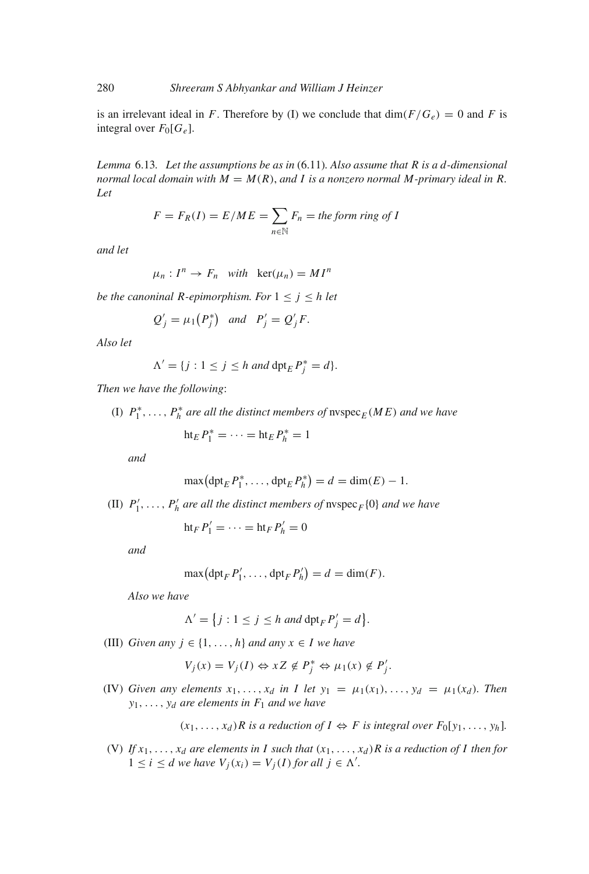is an irrelevant ideal in *F*. Therefore by (I) we conclude that  $\dim(F/G_e) = 0$  and *F* is integral over  $F_0[G_e]$ .

*Lemma* 6.13*. Let the assumptions be as in* (6.11)*. Also assume that R is a d-dimensional normal local domain with*  $M = M(R)$ , *and* I is a nonzero normal M-primary ideal in R. *Let*

$$
F = F_R(I) = E/ME = \sum_{n \in \mathbb{N}} F_n = \text{the form ring of } I
$$

*and let*

$$
\mu_n: I^n \to F_n \quad with \quad \ker(\mu_n) = MI^n
$$

*be the canoninal R-epimorphism. For*  $1 \le j \le h$  *let* 

$$
Q'_j = \mu_1(P_j^*)
$$
 and  $P'_j = Q'_jF$ .

*Also let*

$$
\Lambda' = \{ j : 1 \le j \le h \text{ and } \det_E P_j^* = d \}.
$$

*Then we have the following*:

(I)  $P_1^*, \ldots, P_h^*$  *are all the distinct members of*  $\text{nspec}_E(ME)$  *and we have* 

$$
\operatorname{ht}_E P_1^* = \cdots = \operatorname{ht}_E P_h^* = 1
$$

*and*

$$
\max\big(\operatorname{dpt}_E P_1^*,\ldots,\operatorname{dpt}_E P_h^*\big)=d=\dim(E)-1.
$$

(II)  $P'_1, \ldots, P'_h$  *are all the distinct members of*  $\mathrm{nvspec}_F\{0\}$  *and we have* 

$$
\operatorname{ht}_F P'_1 = \cdots = \operatorname{ht}_F P'_h = 0
$$

*and*

$$
\max\big(\mathrm{dpt}_F P'_1,\ldots,\mathrm{dpt}_F P'_h\big)=d=\dim(F).
$$

*Also we have*

$$
\Lambda' = \{ j : 1 \le j \le h \text{ and } \text{dpt}_F P'_j = d \}.
$$

(III) *Given any*  $j \in \{1, ..., h\}$  *and any*  $x \in I$  *we have* 

$$
V_j(x) = V_j(I) \Leftrightarrow xZ \notin P_j^* \Leftrightarrow \mu_1(x) \notin P_j'.
$$

(IV) *Given any elements*  $x_1, \ldots, x_d$  *in I let*  $y_1 = \mu_1(x_1), \ldots, y_d = \mu_1(x_d)$ *. Then y*1,..., *yd are elements in F*<sup>1</sup> *and we have*

 $(x_1, \ldots, x_d)$ *R* is a reduction of  $I \Leftrightarrow F$  is integral over  $F_0[y_1, \ldots, y_h]$ .

(V) If  $x_1, \ldots, x_d$  are elements in I such that  $(x_1, \ldots, x_d)$  R is a reduction of I then for  $1 \leq i \leq d$  we have  $V_j(x_i) = V_j(I)$  for all  $j \in \Lambda'$ .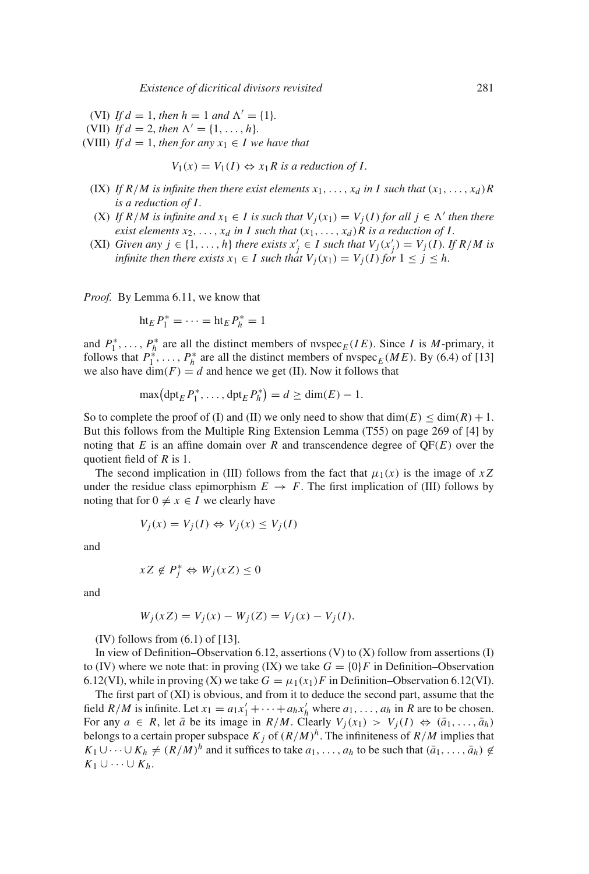- (VI) If  $d = 1$ , then  $h = 1$  and  $\Lambda' = \{1\}$ .
- (VII) *If d* = 2, *then*  $\Lambda' = \{1, ..., h\}$ .
- (VIII) *If d* = 1, *then for any*  $x_1 \in I$  *we have that*

$$
V_1(x) = V_1(I) \Leftrightarrow x_1 R \text{ is a reduction of } I.
$$

- (IX) If  $R/M$  is infinite then there exist elements  $x_1, \ldots, x_d$  in I such that  $(x_1, \ldots, x_d)R$ *is a reduction of I .*
- (X) *If*  $R/M$  is infinite and  $x_1 \in I$  is such that  $V_i(x_1) = V_i(I)$  for all  $j \in \Lambda'$  then there *exist elements*  $x_2, \ldots, x_d$  *in I such that*  $(x_1, \ldots, x_d)R$  *is a reduction of I.*
- (XI) *Given any*  $j \in \{1, ..., h\}$  *there exists*  $x'_j \in I$  *such that*  $V_j(x'_j) = V_j(I)$ *. If*  $R/M$  *is infinite then there exists*  $x_1 \in I$  *such that*  $V_i(x_1) = V_i(I)$  *for*  $1 \leq j \leq h$ *.*

*Proof.* By Lemma 6.11, we know that

$$
ht_E P_1^* = \cdots = ht_E P_h^* = 1
$$

and  $P_1^*, \ldots, P_h^*$  are all the distinct members of nvspec<sub>*E*</sub>(*IE*). Since *I* is *M*-primary, it follows that  $P_1^*$ , ...,  $P_h^*$  are all the distinct members of nvspec<sub>*E*</sub> (*ME*). By (6.4) of [13] we also have  $\dim(F) = d$  and hence we get (II). Now it follows that

$$
\max\big(\operatorname{dpt}_E P_1^*,\ldots,\operatorname{dpt}_E P_h^*\big)=d\ge\dim(E)-1.
$$

So to complete the proof of (I) and (II) we only need to show that  $\dim(E) \leq \dim(R) + 1$ . But this follows from the Multiple Ring Extension Lemma (T55) on page 269 of [4] by noting that  $E$  is an affine domain over  $R$  and transcendence degree of  $QF(E)$  over the quotient field of *R* is 1.

The second implication in (III) follows from the fact that  $\mu_1(x)$  is the image of  $xZ$ under the residue class epimorphism  $E \to F$ . The first implication of (III) follows by noting that for  $0 \neq x \in I$  we clearly have

$$
V_j(x) = V_j(I) \Leftrightarrow V_j(x) \le V_j(I)
$$

and

$$
xZ \notin P_j^* \Leftrightarrow W_j(xZ) \le 0
$$

and

$$
W_j(xZ) = V_j(x) - W_j(Z) = V_j(x) - V_j(I).
$$

(IV) follows from  $(6.1)$  of [13].

In view of Definition–Observation 6.12, assertions  $(V)$  to  $(X)$  follow from assertions  $(I)$ to (IV) where we note that: in proving (IX) we take  $G = \{0\}F$  in Definition–Observation 6.12(VI), while in proving (X) we take  $G = \mu_1(x_1)F$  in Definition–Observation 6.12(VI).

The first part of (XI) is obvious, and from it to deduce the second part, assume that the field *R*/*M* is infinite. Let  $x_1 = a_1x_1' + \cdots + a_hx_h'$  where  $a_1, \ldots, a_h$  in *R* are to be chosen. For any  $a \in R$ , let  $\bar{a}$  be its image in  $R/M$ . Clearly  $V_j(x_1) > V_j(I) \Leftrightarrow (\bar{a}_1, \ldots, \bar{a}_h)$ belongs to a certain proper subspace  $K_j$  of  $(R/M)^h$ . The infiniteness of  $R/M$  implies that *K*<sub>1</sub> ∪ $\cdots$  ∪ *K*<sub>h</sub>  $\neq$  (*R*/*M*)<sup>*h*</sup> and it suffices to take *a*<sub>1</sub>,..., *a*<sub>*h*</sub> to be such that ( $\bar{a}_1$ ,...,  $\bar{a}_h$ )  $\notin$  $K_1$  ∪  $\cdots$  ∪  $K_h$ .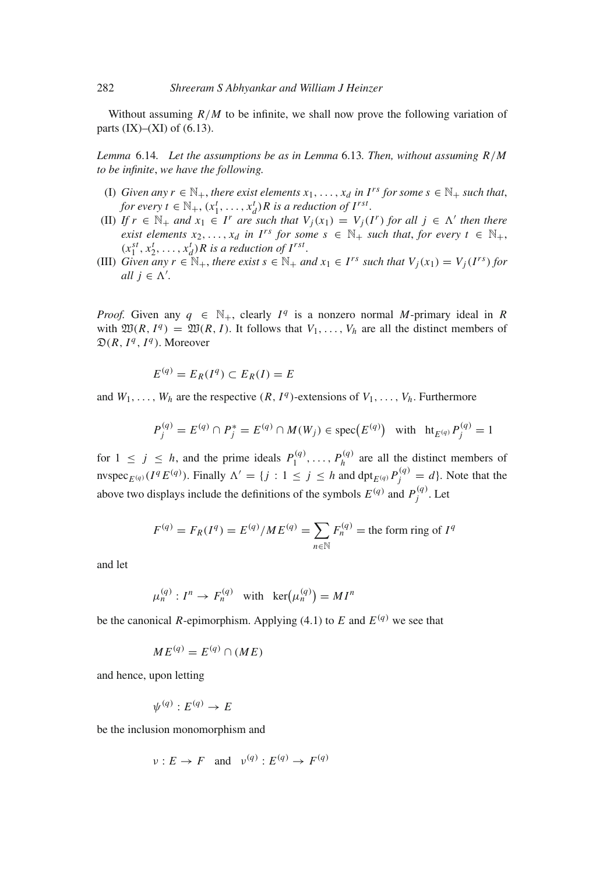Without assuming  $R/M$  to be infinite, we shall now prove the following variation of parts  $(IX)–(XI)$  of  $(6.13)$ .

*Lemma* 6.14*. Let the assumptions be as in Lemma* 6.13*. Then, without assuming R*/*M to be infinite*, *we have the following.*

- (I) *Given any*  $r \in \mathbb{N}_+$ , *there exist elements*  $x_1, \ldots, x_d$  *in I<sup>rs</sup> for some*  $s \in \mathbb{N}_+$  *such that*, *for every t*  $\in$   $\mathbb{N}_+$ ,  $(x_1^t, \ldots, x_d^t)$  *R is a reduction of I<sup>rst</sup>.*
- (II) *If*  $r \in \mathbb{N}_+$  *and*  $x_1 \in I^r$  *are such that*  $V_j(x_1) = V_j(I^r)$  *for all*  $j \in \Lambda'$  *then there exist elements*  $x_2, \ldots, x_d$  *in I<sup>rs</sup> for some*  $s \in \mathbb{N}_+$  *such that, for every*  $t \in \mathbb{N}_+$ ,  $(x_1^{st}, x_2^t, \ldots, x_d^t)$ *R* is a reduction of  $I^{rst}$ *.*
- (III) *Given any*  $r \in \mathbb{N}_+$ , *there exist*  $s \in \mathbb{N}_+$  *and*  $x_1 \in I^{rs}$  *such that*  $V_i(x_1) = V_i(I^{rs})$  *for all*  $j \in \Lambda'$ .

*Proof.* Given any  $q \in \mathbb{N}_+$ , clearly  $I^q$  is a nonzero normal *M*-primary ideal in *R* with  $\mathfrak{W}(R, I^q) = \mathfrak{W}(R, I)$ . It follows that  $V_1, \ldots, V_h$  are all the distinct members of  $\mathfrak{D}(R, I^q, I^q)$ . Moreover

$$
E^{(q)} = E_R(I^q) \subset E_R(I) = E
$$

and  $W_1, \ldots, W_h$  are the respective  $(R, I^q)$ -extensions of  $V_1, \ldots, V_h$ . Furthermore

$$
P_j^{(q)} = E^{(q)} \cap P_j^* = E^{(q)} \cap M(W_j) \in \text{spec}(E^{(q)}) \quad \text{with} \quad \text{ht}_{E^{(q)}} P_j^{(q)} = 1
$$

for  $1 \leq j \leq h$ , and the prime ideals  $P_1^{(q)}, \ldots, P_h^{(q)}$  are all the distinct members of nvspec<sub>*E*<sup>(*q*)</sup></sub> (*I*<sup>q</sup> *E*<sup>(*q*)</sup>). Finally  $\Lambda' = \{j : 1 \le j \le h \text{ and } \text{dpt}_{E(q)} P_j^{(q)} = d\}$ . Note that the above two displays include the definitions of the symbols  $E^{(q)}$  and  $P_j^{(q)}$ . Let

$$
F^{(q)} = F_R(I^q) = E^{(q)}/M E^{(q)} = \sum_{n \in \mathbb{N}} F_n^{(q)} = \text{the form ring of } I^q
$$

and let

$$
\mu_n^{(q)}: I^n \to F_n^{(q)} \quad \text{with} \quad \ker(\mu_n^{(q)}) = MI^n
$$

be the canonical *R*-epimorphism. Applying (4.1) to *E* and  $E^{(q)}$  we see that

$$
ME^{(q)} = E^{(q)} \cap (ME)
$$

and hence, upon letting

$$
\psi^{(q)}: E^{(q)} \to E
$$

be the inclusion monomorphism and

$$
\nu: E \to F \quad \text{and} \quad \nu^{(q)}: E^{(q)} \to F^{(q)}
$$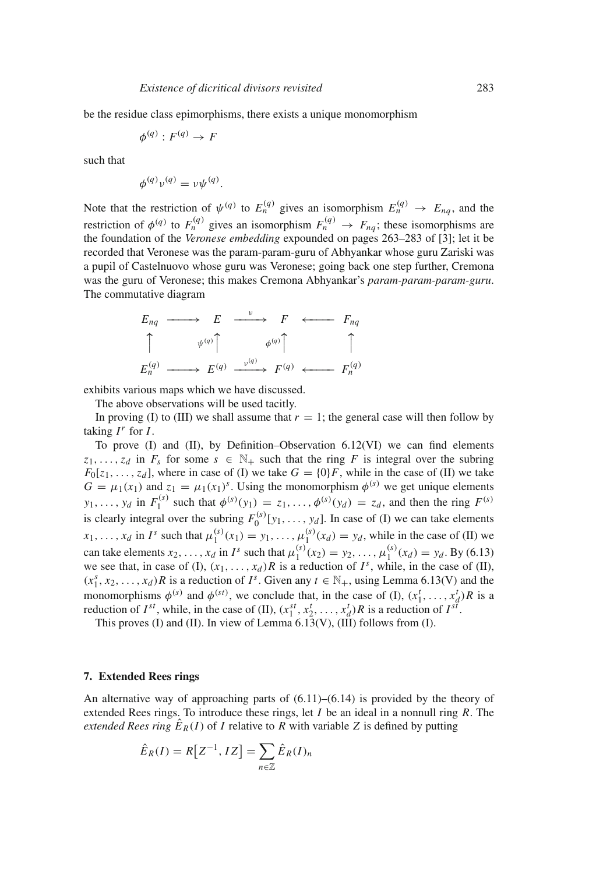be the residue class epimorphisms, there exists a unique monomorphism

$$
\phi^{(q)}: F^{(q)} \to F
$$

such that

$$
\phi^{(q)}\nu^{(q)} = \nu\psi^{(q)}.
$$

Note that the restriction of  $\psi^{(q)}$  to  $E_n^{(q)}$  gives an isomorphism  $E_n^{(q)} \to E_{nq}$ , and the restriction of  $\phi^{(q)}$  to  $F_n^{(q)}$  gives an isomorphism  $F_n^{(q)} \to F_{nq}$ ; these isomorphisms are the foundation of the *Veronese embedding* expounded on pages 263–283 of [3]; let it be recorded that Veronese was the param-param-guru of Abhyankar whose guru Zariski was a pupil of Castelnuovo whose guru was Veronese; going back one step further, Cremona was the guru of Veronese; this makes Cremona Abhyankar's *param-param-param-guru*. The commutative diagram

$$
E_{nq} \longrightarrow E \longrightarrow F \longleftarrow F_{nq}
$$
\n
$$
\uparrow \qquad \psi^{(q)} \uparrow \qquad \phi^{(q)} \uparrow \qquad \uparrow
$$
\n
$$
E_n^{(q)} \longrightarrow E^{(q)} \longrightarrow F^{(q)} \longleftarrow F_n^{(q)}
$$

exhibits various maps which we have discussed.

The above observations will be used tacitly.

In proving (I) to (III) we shall assume that  $r = 1$ ; the general case will then follow by taking  $I^r$  for  $I$ .

To prove (I) and (II), by Definition–Observation 6.12(VI) we can find elements  $z_1, \ldots, z_d$  in  $F_s$  for some  $s \in \mathbb{N}_+$  such that the ring *F* is integral over the subring  $F_0[z_1, \ldots, z_d]$ , where in case of (I) we take  $G = \{0\}F$ , while in the case of (II) we take  $G = \mu_1(x_1)$  and  $z_1 = \mu_1(x_1)^s$ . Using the monomorphism  $\phi^{(s)}$  we get unique elements  $y_1, \ldots, y_d$  in  $F_1^{(s)}$  such that  $\phi^{(s)}(y_1) = z_1, \ldots, \phi^{(s)}(y_d) = z_d$ , and then the ring  $F^{(s)}$ is clearly integral over the subring  $F_0^{(s)}[y_1, \ldots, y_d]$ . In case of (I) we can take elements *x*<sub>1</sub>,..., *x<sub>d</sub>* in *I*<sup>*s*</sup> such that  $\mu_1^{(s)}(x_1) = y_1, \ldots, \mu_1^{(s)}(x_d) = y_d$ , while in the case of (II) we can take elements  $x_2, ..., x_d$  in  $I^s$  such that  $\mu_1^{(s)}(x_2) = y_2, ..., \mu_1^{(s)}(x_d) = y_d$ . By (6.13) we see that, in case of (I),  $(x_1, \ldots, x_d)R$  is a reduction of  $I^s$ , while, in the case of (II),  $(x_1^s, x_2, \ldots, x_d)$  *R* is a reduction of *I*<sup>*s*</sup>. Given any  $t \in \mathbb{N}_+$ , using Lemma 6.13(V) and the monomorphisms  $\phi^{(s)}$  and  $\phi^{(st)}$ , we conclude that, in the case of (I),  $(x_1^t, \ldots, x_d^t)R$  is a reduction of  $I^{st}$ , while, in the case of (II),  $(x_1^{st}, x_2^t, \ldots, x_d^t)R$  is a reduction of  $I^{st}$ .

This proves (I) and (II). In view of Lemma  $6.13(V)$ , (III) follows from (I).

#### **7. Extended Rees rings**

An alternative way of approaching parts of  $(6.11)$ – $(6.14)$  is provided by the theory of extended Rees rings. To introduce these rings, let *I* be an ideal in a nonnull ring *R*. The *extended Rees ring*  $\hat{E}_R(I)$  of *I* relative to *R* with variable *Z* is defined by putting

$$
\hat{E}_R(I) = R[Z^{-1}, IZ] = \sum_{n \in \mathbb{Z}} \hat{E}_R(I)_n
$$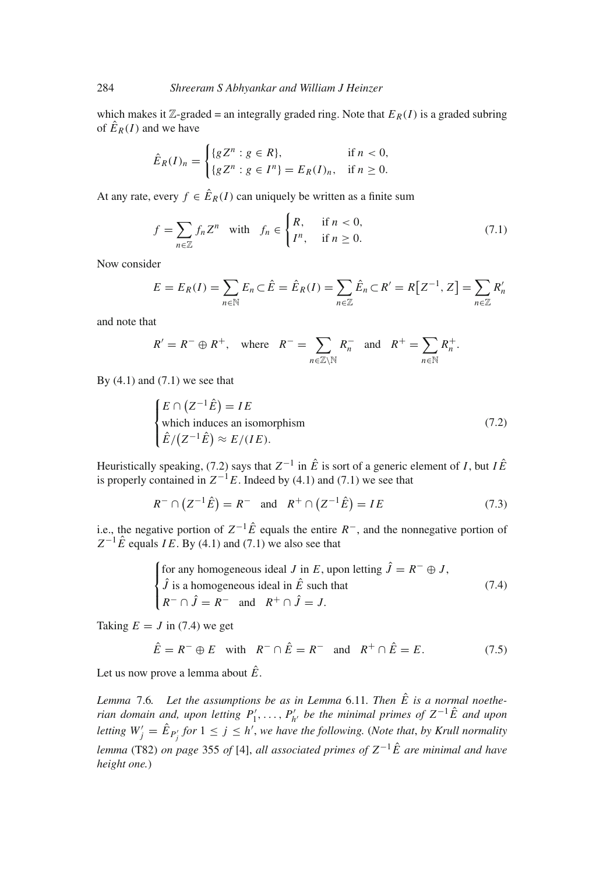which makes it  $\mathbb{Z}$ -graded = an integrally graded ring. Note that  $E_R(I)$  is a graded subring of  $\hat{E}_R(I)$  and we have

$$
\hat{E}_R(I)_n = \begin{cases} \{g Z^n : g \in R\}, & \text{if } n < 0, \\ \{g Z^n : g \in I^n\} = E_R(I)_n, & \text{if } n \ge 0. \end{cases}
$$

At any rate, every  $f \in \hat{E}_R(I)$  can uniquely be written as a finite sum

$$
f = \sum_{n \in \mathbb{Z}} f_n Z^n \quad \text{with} \quad f_n \in \begin{cases} R, & \text{if } n < 0, \\ I^n, & \text{if } n \ge 0. \end{cases} \tag{7.1}
$$

Now consider

$$
E = E_R(I) = \sum_{n \in \mathbb{N}} E_n \subset \hat{E} = \hat{E}_R(I) = \sum_{n \in \mathbb{Z}} \hat{E}_n \subset R' = R[Z^{-1}, Z] = \sum_{n \in \mathbb{Z}} R'_n
$$

and note that

$$
R' = R^- \oplus R^+
$$
, where  $R^- = \sum_{n \in \mathbb{Z} \setminus \mathbb{N}} R_n^-$  and  $R^+ = \sum_{n \in \mathbb{N}} R_n^+$ .

By  $(4.1)$  and  $(7.1)$  we see that

$$
\begin{cases}\nE \cap (Z^{-1}\hat{E}) = IE \\
\text{which induces an isomorphism} \\
\hat{E}/(Z^{-1}\hat{E}) \approx E/(IE).\n\end{cases}
$$
\n(7.2)

Heuristically speaking, (7.2) says that  $Z^{-1}$  in  $\hat{E}$  is sort of a generic element of *I*, but  $I\hat{E}$ is properly contained in  $Z^{-1}E$ . Indeed by (4.1) and (7.1) we see that

$$
R^{-} \cap (Z^{-1}\hat{E}) = R^{-}
$$
 and  $R^{+} \cap (Z^{-1}\hat{E}) = IE$  (7.3)

i.e., the negative portion of  $Z^{-1}\hat{E}$  equals the entire  $R^{-}$ , and the nonnegative portion of  $Z^{-1}\hat{E}$  equals *IE*. By (4.1) and (7.1) we also see that

for any homogeneous ideal *J* in *E*, upon letting 
$$
\hat{J} = R^- \oplus J
$$
,  
\n $\hat{J}$  is a homogeneous ideal in  $\hat{E}$  such that  
\n $R^- \cap \hat{J} = R^-$  and  $R^+ \cap \hat{J} = J$ . (7.4)

Taking  $E = J$  in (7.4) we get

$$
\hat{E} = R^- \oplus E \quad \text{with} \quad R^- \cap \hat{E} = R^- \quad \text{and} \quad R^+ \cap \hat{E} = E. \tag{7.5}
$$

Let us now prove a lemma about  $\hat{E}$ .

*Lemma* 7.6. Let the assumptions be as in Lemma 6.11. Then  $\hat{E}$  is a normal noethe*rian domain and, upon letting*  $P'_1, \ldots, P'_{h'}$  *be the minimal primes of*  $Z^{-1}\hat{E}$  *and upon letting*  $W'_{j} = \hat{E}_{P'_{j}}$  *for*  $1 \leq j \leq h'$ , we have the following. (Note that, by Krull normality *lemma* (T82) *on page* 355 *of* [4], *all associated primes of*  $Z^{-1}\hat{E}$  *are minimal and have height one.*)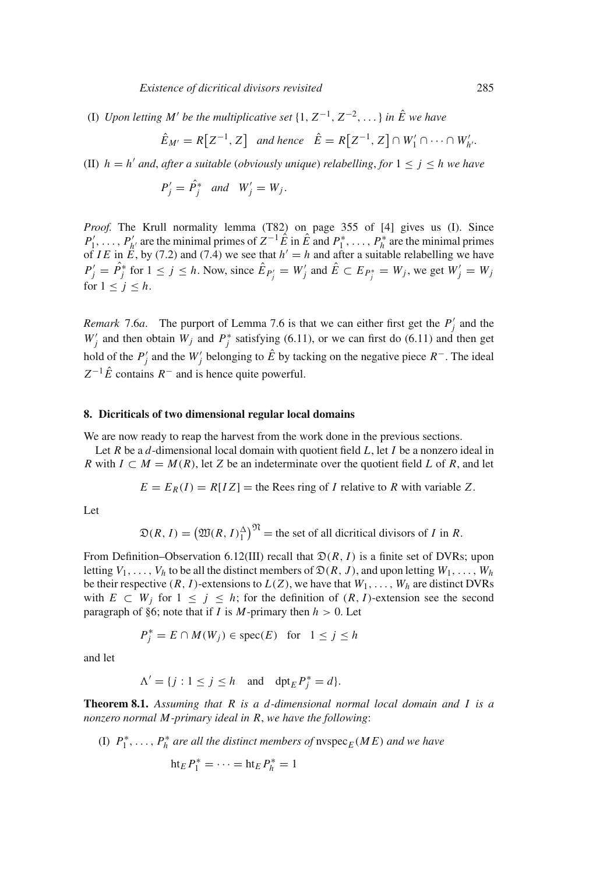(I) *Upon letting M' be the multiplicative set*  $\{1, Z^{-1}, Z^{-2}, \ldots\}$  *in*  $\hat{E}$  we have

$$
\hat{E}_{M'} = R\big[Z^{-1}, Z\big] \quad \text{and hence} \quad \hat{E} = R\big[Z^{-1}, Z\big] \cap W_1' \cap \dots \cap W_{h'}'.
$$

(II)  $h = h'$  *and, after a suitable (obviously unique) relabelling, for*  $1 \le j \le h$  *we have* 

$$
P_j' = \hat{P}_j^* \quad and \quad W_j' = W_j.
$$

*Proof.* The Krull normality lemma (T82) on page 355 of [4] gives us (I). Since  $P'_1, \ldots, P'_{h'}$  are the minimal primes of  $Z^{-1}\hat{E}$  in  $\hat{E}$  and  $P_1^*, \ldots, P_h^*$  are the minimal primes of *IE* in  $\hat{E}$ , by (7.2) and (7.4) we see that  $h' = h$  and after a suitable relabelling we have  $P'_j = \hat{P}_j^*$  for  $1 \le j \le h$ . Now, since  $\hat{E}_{P'_j} = W'_j$  and  $\hat{E} \subset E_{P_j^*} = W_j$ , we get  $W'_j = W_j$ for  $1 \leq j \leq h$ .

*Remark* 7.6*a*. The purport of Lemma 7.6 is that we can either first get the  $P'_j$  and the  $W'_j$  and then obtain  $W_j$  and  $P_j^*$  satisfying (6.11), or we can first do (6.11) and then get hold of the  $P'_j$  and the  $W'_j$  belonging to  $\hat{E}$  by tacking on the negative piece  $R^-$ . The ideal  $Z^{-1}\hat{E}$  contains  $R^{-}$  and is hence quite powerful.

#### **8. Dicriticals of two dimensional regular local domains**

We are now ready to reap the harvest from the work done in the previous sections.

Let *R* be a *d*-dimensional local domain with quotient field *L*, let *I* be a nonzero ideal in *R* with  $I \subset M = M(R)$ , let *Z* be an indeterminate over the quotient field *L* of *R*, and let

 $E = E_R(I) = R[IZ]$  = the Rees ring of *I* relative to *R* with variable *Z*.

Let

$$
\mathfrak{D}(R, I) = \left(\mathfrak{W}(R, I)\_1^{\Delta}\right)^{\mathfrak{N}} = \text{the set of all directional divisors of } I \text{ in } R.
$$

From Definition–Observation 6.12(III) recall that  $\mathfrak{D}(R, I)$  is a finite set of DVRs; upon letting  $V_1, \ldots, V_h$  to be all the distinct members of  $\mathfrak{D}(R, J)$ , and upon letting  $W_1, \ldots, W_h$ be their respective  $(R, I)$ -extensions to  $L(Z)$ , we have that  $W_1, \ldots, W_h$  are distinct DVRs with  $E \subset W_j$  for  $1 \leq j \leq h$ ; for the definition of  $(R, I)$ -extension see the second paragraph of §6; note that if *I* is *M*-primary then  $h > 0$ . Let

$$
P_j^* = E \cap M(W_j) \in \text{spec}(E) \quad \text{for} \quad 1 \le j \le h
$$

and let

$$
\Lambda' = \{ j : 1 \le j \le h \quad \text{and} \quad \text{dpt}_E P_j^* = d \}.
$$

**Theorem 8.1.** *Assuming that R is a d-dimensional normal local domain and I is a nonzero normal M-primary ideal in R*, *we have the following*:

(I)  $P_1^*, \ldots, P_h^*$  *are all the distinct members of*  $\text{nvspec}_E(ME)$  *and we have* 

$$
ht_E P_1^* = \cdots = ht_E P_h^* = 1
$$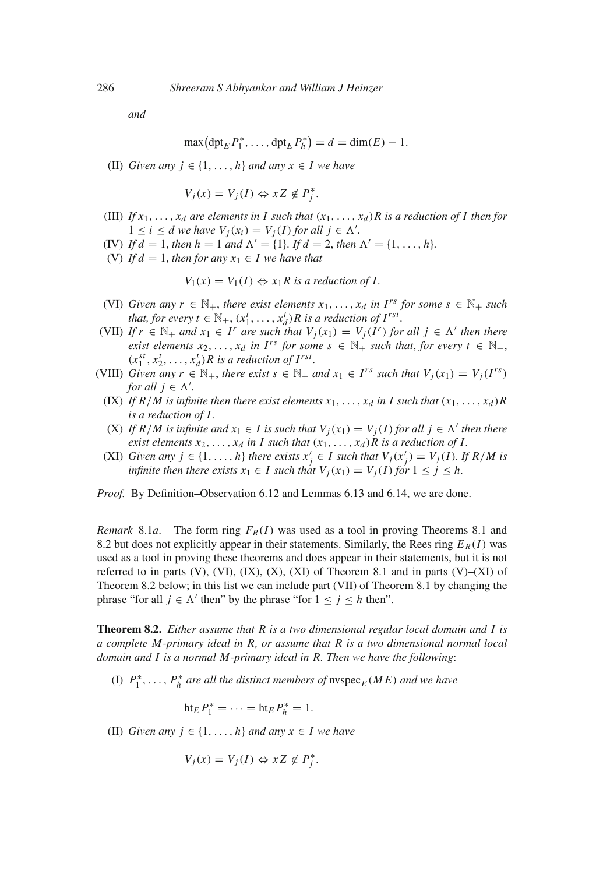*and*

$$
\max\big(\mathrm{dpt}_E P_1^*,\ldots,\mathrm{dpt}_E P_h^*\big)=d=\dim(E)-1.
$$

(II) *Given any*  $j \in \{1, ..., h\}$  *and any*  $x \in I$  *we have* 

 $V_j(x) = V_j(I) \Leftrightarrow xZ \notin P_j^*$ .

- (III) *If*  $x_1, \ldots, x_d$  *are elements in I such that*  $(x_1, \ldots, x_d)$ *R is a reduction of I then for*  $1 \leq i \leq d$  *we have*  $V_j(x_i) = V_j(I)$  *for all*  $j \in \Lambda'$ *.*
- (IV) If  $d = 1$ , then  $h = 1$  and  $\Lambda' = \{1\}$ . If  $d = 2$ , then  $\Lambda' = \{1, \ldots, h\}$ .
- (V) If  $d = 1$ , then for any  $x_1 \in I$  we have that

$$
V_1(x) = V_1(I) \Leftrightarrow x_1 R \text{ is a reduction of } I.
$$

- (VI) *Given any*  $r \in \mathbb{N}_+$ , *there exist elements*  $x_1, \ldots, x_d$  *in*  $I^{rs}$  *for some*  $s \in \mathbb{N}_+$  *such that, for every*  $t \in \mathbb{N}_+$ *,*  $(x_1^t, \ldots, x_d^t)R$  *is a reduction of*  $I^{rst}$ *.*
- (VII) *If*  $r \in \mathbb{N}_+$  *and*  $x_1 \in I^r$  *are such that*  $V_j(x_1) = V_j(I^r)$  *for all*  $j \in \Lambda'$  *then there exist elements*  $x_2, \ldots, x_d$  *in I<sup>rs</sup> for some*  $s \in \mathbb{N}_+$  *such that, for every*  $t \in \mathbb{N}_+$ ,  $(x_1^{st}, x_2^t, \ldots, x_d^t)$ *R* is a reduction of  $I^{rst}$ *.*
- (VIII) *Given any r*  $\in \mathbb{N}_+$ , *there exist*  $s \in \mathbb{N}_+$  *and*  $x_1 \in I^{rs}$  *such that*  $V_i(x_1) = V_i(I^{rs})$ *for all*  $j \in \Lambda'$ *.* 
	- (IX) If  $R/M$  is infinite then there exist elements  $x_1, \ldots, x_d$  in I such that  $(x_1, \ldots, x_d)R$ *is a reduction of I .*
	- $(X)$  *If*  $R/M$  is infinite and  $x_1 \in I$  is such that  $V_i(x_1) = V_i(I)$  for all  $j \in \Lambda'$  then there *exist elements*  $x_2, \ldots, x_d$  *in I such that*  $(x_1, \ldots, x_d)R$  *is a reduction of I.*
	- (XI) *Given any*  $j \in \{1, ..., h\}$  *there exists*  $x'_j \in I$  *such that*  $V_j(x'_j) = V_j(I)$ *. If*  $R/M$  *is infinite then there exists*  $x_1 \in I$  *such that*  $V_i(x_1) = V_i(I)$  *for*  $1 \leq j \leq h$ *.*

*Proof.* By Definition–Observation 6.12 and Lemmas 6.13 and 6.14, we are done.

*Remark* 8.1*a*. The form ring  $F_R(I)$  was used as a tool in proving Theorems 8.1 and 8.2 but does not explicitly appear in their statements. Similarly, the Rees ring  $E_R(I)$  was used as a tool in proving these theorems and does appear in their statements, but it is not referred to in parts  $(V)$ ,  $(VI)$ ,  $(IX)$ ,  $(X)$ ,  $(XI)$  of Theorem 8.1 and in parts  $(V)$ – $(XI)$  of Theorem 8.2 below; in this list we can include part (VII) of Theorem 8.1 by changing the phrase "for all  $j \in \Lambda'$  then" by the phrase "for  $1 \le j \le h$  then".

**Theorem 8.2.** *Either assume that R is a two dimensional regular local domain and I is a complete M-primary ideal in R, or assume that R is a two dimensional normal local domain and I is a normal M-primary ideal in R. Then we have the following*:

(I)  $P_1^*, \ldots, P_h^*$  *are all the distinct members of*  $\text{nspec}_E(ME)$  *and we have* 

 $\operatorname{ht}_E P_1^* = \cdots = \operatorname{ht}_E P_h^* = 1.$ 

(II) *Given any*  $j \in \{1, ..., h\}$  *and any*  $x \in I$  *we have* 

$$
V_j(x) = V_j(I) \Leftrightarrow xZ \notin P_j^*.
$$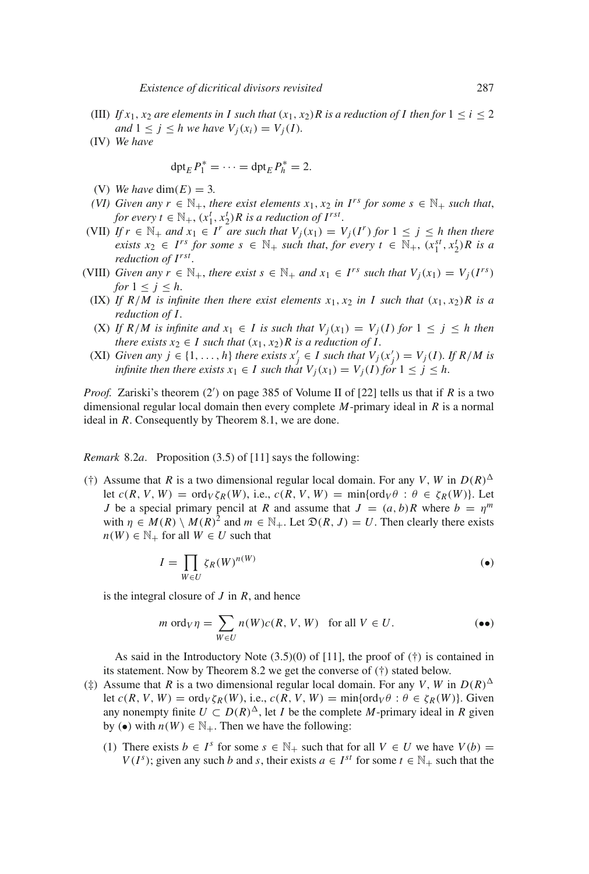- (III) *If*  $x_1, x_2$  *are elements in I such that*  $(x_1, x_2)$ *R is a reduction of I then for*  $1 \le i \le 2$ *and*  $1 \leq j \leq h$  *we have*  $V_i(x_i) = V_i(I)$ *.*
- (IV) *We have*

$$
\operatorname{dpt}_E P_1^* = \cdots = \operatorname{dpt}_E P_h^* = 2.
$$

- (V) *We have* dim( $E$ ) = 3.
- *(VI)* Given any  $r \in \mathbb{N}_+$ , there exist elements  $x_1, x_2$  in  $I^{rs}$  for some  $s \in \mathbb{N}_+$  such that, *for every t*  $\in$   $\mathbb{N}_+$ ,  $(x_1^t, x_2^t)$ *R is a reduction of I<sup>rst</sup>.*
- (VII) If  $r \in \mathbb{N}_+$  and  $x_1 \in I^r$  are such that  $V_i(x_1) = V_i(I^r)$  for  $1 \leq j \leq h$  then there *exists*  $x_2 \in I^{rs}$  *for some*  $s \in \mathbb{N}_+$  *such that, for every*  $t \in \mathbb{N}_+$ ,  $(x_1^{st}, x_2^t)R$  *is a reduction of Irst .*
- (VIII) *Given any r*  $\in \mathbb{N}_+$ *, there exist s*  $\in \mathbb{N}_+$  *and*  $x_1 \in I^{rs}$  *such that*  $V_i(x_1) = V_i(I^{rs})$ *for*  $1 \leq j \leq h$ .
	- (IX) If  $R/M$  is infinite then there exist elements  $x_1, x_2$  in I such that  $(x_1, x_2)R$  is a *reduction of I .*
	- (X) If  $R/M$  is infinite and  $x_1 \in I$  is such that  $V_i(x_1) = V_i(I)$  for  $1 \leq j \leq h$  then *there exists*  $x_2 \in I$  *such that*  $(x_1, x_2)R$  *is a reduction of I*.
	- (XI) *Given any*  $j \in \{1, ..., h\}$  *there exists*  $x'_j \in I$  *such that*  $V_j(x'_j) = V_j(I)$ *. If*  $R/M$  *is infinite then there exists*  $x_1 \in I$  *such that*  $V_i(x_1) = V_i(I)$  *for*  $1 \leq j \leq h$ *.*

*Proof.* Zariski's theorem (2 ) on page 385 of Volume II of [22] tells us that if *R* is a two dimensional regular local domain then every complete *M*-primary ideal in *R* is a normal ideal in *R*. Consequently by Theorem 8.1, we are done.

*Remark* 8.2*a.* Proposition (3.5) of [11] says the following:

(†) Assume that *R* is a two dimensional regular local domain. For any *V*, *W* in  $D(R)^{\Delta}$ let  $c(R, V, W) = \text{ord}_V \zeta_R(W)$ , i.e.,  $c(R, V, W) = \min \{ \text{ord}_V \theta : \theta \in \zeta_R(W) \}$ . Let *J* be a special primary pencil at *R* and assume that  $J = (a, b)R$  where  $b = \eta^m$ with  $\eta \in M(R) \setminus M(R)^2$  and  $m \in \mathbb{N}_+$ . Let  $\mathfrak{D}(R, J) = U$ . Then clearly there exists  $n(W) \in \mathbb{N}_+$  for all  $W \in U$  such that

$$
I = \prod_{W \in U} \zeta_R(W)^{n(W)} \tag{•}
$$

is the integral closure of *J* in *R*, and hence

$$
m \text{ ord}_V \eta = \sum_{W \in U} n(W)c(R, V, W) \text{ for all } V \in U.
$$
 (•)

As said in the Introductory Note  $(3.5)(0)$  of [11], the proof of  $(†)$  is contained in its statement. Now by Theorem 8.2 we get the converse of (†) stated below.

- ( $\ddagger$ ) Assume that *R* is a two dimensional regular local domain. For any *V*, *W* in  $D(R)^{\Delta}$ let  $c(R, V, W) = \text{ord}_V \zeta_R(W)$ , i.e.,  $c(R, V, W) = \min \{ \text{ord}_V \theta : \theta \in \zeta_R(W) \}$ . Given any nonempty finite  $U \subset D(R)^{\Delta}$ , let *I* be the complete *M*-primary ideal in *R* given by  $(\bullet)$  with  $n(W) \in \mathbb{N}_+$ . Then we have the following:
	- (1) There exists  $b \in I^s$  for some  $s \in \mathbb{N}_+$  such that for all  $V \in U$  we have  $V(b) =$ *V*(*I*<sup>*s*</sup>); given any such *b* and *s*, their exists  $a \in I^{st}$  for some  $t \in \mathbb{N}_+$  such that the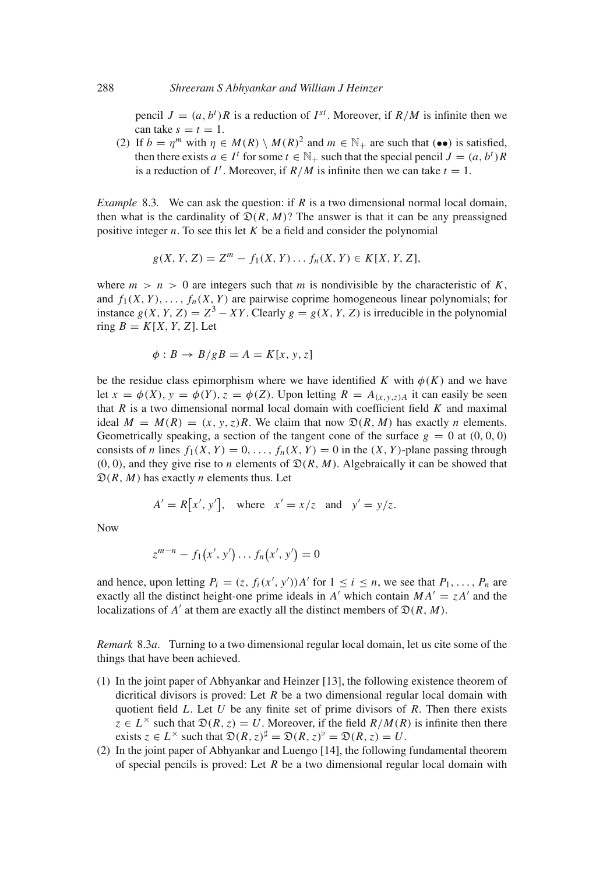pencil  $J = (a, b^t)R$  is a reduction of  $I^{st}$ . Moreover, if  $R/M$  is infinite then we can take  $s = t = 1$ .

(2) If  $b = \eta^m$  with  $\eta \in M(R) \setminus M(R)^2$  and  $m \in \mathbb{N}_+$  are such that (••) is satisfied, then there exists  $a \in I^t$  for some  $t \in \mathbb{N}_+$  such that the special pencil  $J = (a, b^t)R$ is a reduction of  $I^t$ . Moreover, if  $R/M$  is infinite then we can take  $t = 1$ .

*Example* 8.3*.* We can ask the question: if *R* is a two dimensional normal local domain, then what is the cardinality of  $\mathfrak{D}(R, M)$ ? The answer is that it can be any preassigned positive integer *n*. To see this let *K* be a field and consider the polynomial

$$
g(X, Y, Z) = Zm - f1(X, Y) \dots fn(X, Y) \in K[X, Y, Z],
$$

where  $m > n > 0$  are integers such that *m* is nondivisible by the characteristic of K, and  $f_1(X, Y)$ , ...,  $f_n(X, Y)$  are pairwise coprime homogeneous linear polynomials; for instance  $g(X, Y, Z) = Z^3 - XY$ . Clearly  $g = g(X, Y, Z)$  is irreducible in the polynomial ring  $B = K[X, Y, Z]$ . Let

$$
\phi: B \to B/gB = A = K[x, y, z]
$$

be the residue class epimorphism where we have identified *K* with  $\phi(K)$  and we have let  $x = \phi(X)$ ,  $y = \phi(Y)$ ,  $z = \phi(Z)$ . Upon letting  $R = A_{(x,y,z)}$  it can easily be seen that *R* is a two dimensional normal local domain with coefficient field *K* and maximal ideal  $M = M(R) = (x, y, z)R$ . We claim that now  $\mathfrak{D}(R, M)$  has exactly *n* elements. Geometrically speaking, a section of the tangent cone of the surface  $g = 0$  at  $(0, 0, 0)$ consists of *n* lines  $f_1(X, Y) = 0, \ldots, f_n(X, Y) = 0$  in the  $(X, Y)$ -plane passing through  $(0, 0)$ , and they give rise to *n* elements of  $\mathfrak{D}(R, M)$ . Algebraically it can be showed that  $\mathfrak{D}(R, M)$  has exactly *n* elements thus. Let

$$
A' = R[x', y'], \text{ where } x' = x/z \text{ and } y' = y/z.
$$

Now

$$
z^{m-n} - f_1(x', y') \dots f_n(x', y') = 0
$$

and hence, upon letting  $P_i = (z, f_i(x', y'))A'$  for  $1 \le i \le n$ , we see that  $P_1, \ldots, P_n$  are exactly all the distinct height-one prime ideals in *A'* which contain  $MA' = zA'$  and the localizations of *A'* at them are exactly all the distinct members of  $\mathfrak{D}(R, M)$ .

*Remark* 8.3*a.* Turning to a two dimensional regular local domain, let us cite some of the things that have been achieved.

- (1) In the joint paper of Abhyankar and Heinzer [13], the following existence theorem of dicritical divisors is proved: Let *R* be a two dimensional regular local domain with quotient field *L*. Let *U* be any finite set of prime divisors of *R*. Then there exists  $z \in L^{\times}$  such that  $\mathfrak{D}(R, z) = U$ . Moreover, if the field  $R/M(R)$  is infinite then there exists  $z \in L^{\times}$  such that  $\mathfrak{D}(R, z)^{\sharp} = \mathfrak{D}(R, z)^{\flat} = \mathfrak{D}(R, z) = U$ .
- (2) In the joint paper of Abhyankar and Luengo [14], the following fundamental theorem of special pencils is proved: Let *R* be a two dimensional regular local domain with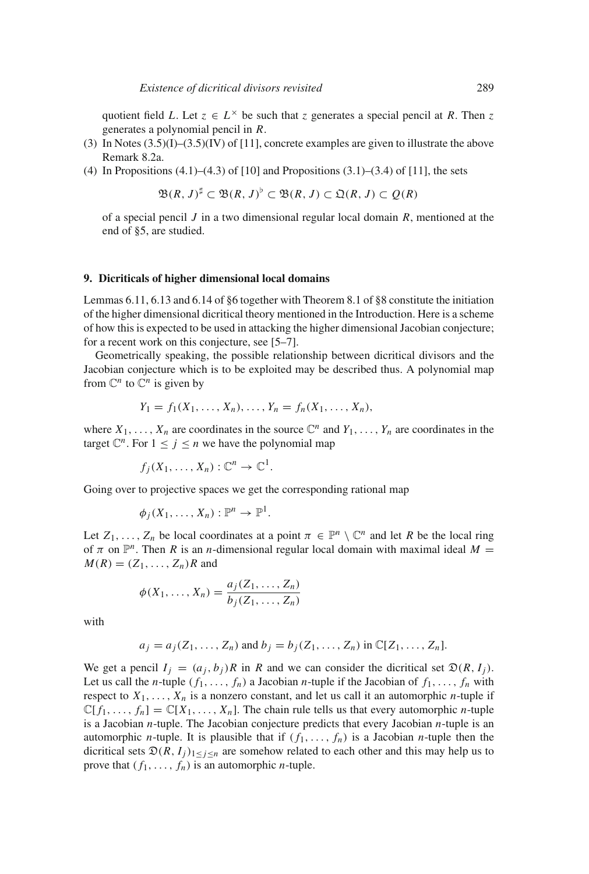quotient field *L*. Let  $z \in L^{\times}$  be such that *z* generates a special pencil at *R*. Then *z* generates a polynomial pencil in *R*.

- (3) In Notes  $(3.5)(I)$ – $(3.5)(IV)$  of [11], concrete examples are given to illustrate the above Remark 8.2a.
- (4) In Propositions (4.1)–(4.3) of [10] and Propositions (3.1)–(3.4) of [11], the sets

$$
\mathfrak{B}(R, J)^{\sharp} \subset \mathfrak{B}(R, J)^{\flat} \subset \mathfrak{B}(R, J) \subset \mathfrak{Q}(R, J) \subset \mathcal{Q}(R)
$$

of a special pencil *J* in a two dimensional regular local domain *R*, mentioned at the end of §5, are studied.

#### **9. Dicriticals of higher dimensional local domains**

Lemmas 6.11, 6.13 and 6.14 of §6 together with Theorem 8.1 of §8 constitute the initiation of the higher dimensional dicritical theory mentioned in the Introduction. Here is a scheme of how this is expected to be used in attacking the higher dimensional Jacobian conjecture; for a recent work on this conjecture, see [5–7].

Geometrically speaking, the possible relationship between dicritical divisors and the Jacobian conjecture which is to be exploited may be described thus. A polynomial map from  $\mathbb{C}^n$  to  $\mathbb{C}^n$  is given by

$$
Y_1 = f_1(X_1, ..., X_n), ..., Y_n = f_n(X_1, ..., X_n),
$$

where  $X_1, \ldots, X_n$  are coordinates in the source  $\mathbb{C}^n$  and  $Y_1, \ldots, Y_n$  are coordinates in the target  $\mathbb{C}^n$ . For  $1 \leq j \leq n$  we have the polynomial map

$$
f_j(X_1,\ldots,X_n): \mathbb{C}^n \to \mathbb{C}^1.
$$

Going over to projective spaces we get the corresponding rational map

$$
\phi_j(X_1,\ldots,X_n):\mathbb{P}^n\to\mathbb{P}^1.
$$

Let  $Z_1, \ldots, Z_n$  be local coordinates at a point  $\pi \in \mathbb{P}^n \setminus \mathbb{C}^n$  and let R be the local ring of  $\pi$  on  $\mathbb{P}^n$ . Then *R* is an *n*-dimensional regular local domain with maximal ideal  $M =$  $M(R) = (Z_1, \ldots, Z_n)R$  and

$$
\phi(X_1,\ldots,X_n)=\frac{a_j(Z_1,\ldots,Z_n)}{b_j(Z_1,\ldots,Z_n)}
$$

with

$$
a_j = a_j(Z_1, ..., Z_n)
$$
 and  $b_j = b_j(Z_1, ..., Z_n)$  in  $\mathbb{C}[Z_1, ..., Z_n]$ .

We get a pencil  $I_i = (a_i, b_i)R$  in *R* and we can consider the dicritical set  $\mathfrak{D}(R, I_i)$ . Let us call the *n*-tuple  $(f_1, \ldots, f_n)$  a Jacobian *n*-tuple if the Jacobian of  $f_1, \ldots, f_n$  with respect to  $X_1, \ldots, X_n$  is a nonzero constant, and let us call it an automorphic *n*-tuple if  $\mathbb{C}[f_1,\ldots,f_n] = \mathbb{C}[X_1,\ldots,X_n]$ . The chain rule tells us that every automorphic *n*-tuple is a Jacobian *n*-tuple. The Jacobian conjecture predicts that every Jacobian *n*-tuple is an automorphic *n*-tuple. It is plausible that if  $(f_1, \ldots, f_n)$  is a Jacobian *n*-tuple then the dicritical sets  $\mathfrak{D}(R, I_j)_{1 \leq j \leq n}$  are somehow related to each other and this may help us to prove that  $(f_1, \ldots, f_n)$  is an automorphic *n*-tuple.